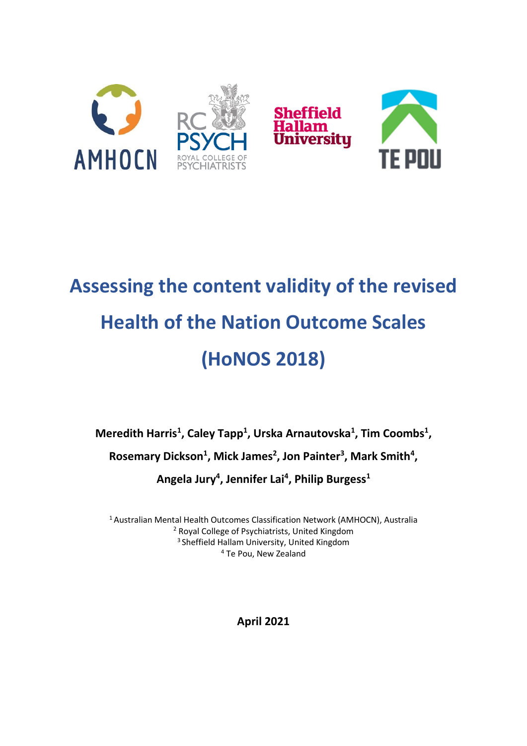

# **Assessing the content validity of the revised Health of the Nation Outcome Scales (HoNOS 2018)**

**Meredith Harris<sup>1</sup> , Caley Tapp<sup>1</sup> , Urska Arnautovska<sup>1</sup> , Tim Coombs<sup>1</sup> , Rosemary Dickson<sup>1</sup> , Mick James<sup>2</sup> , Jon Painter<sup>3</sup> , Mark Smith<sup>4</sup> , Angela Jury<sup>4</sup> , Jennifer Lai<sup>4</sup> , Philip Burgess<sup>1</sup>**

Australian Mental Health Outcomes Classification Network (AMHOCN), Australia Royal College of Psychiatrists, United Kingdom Sheffield Hallam University, United Kingdom Te Pou, New Zealand

**April 2021**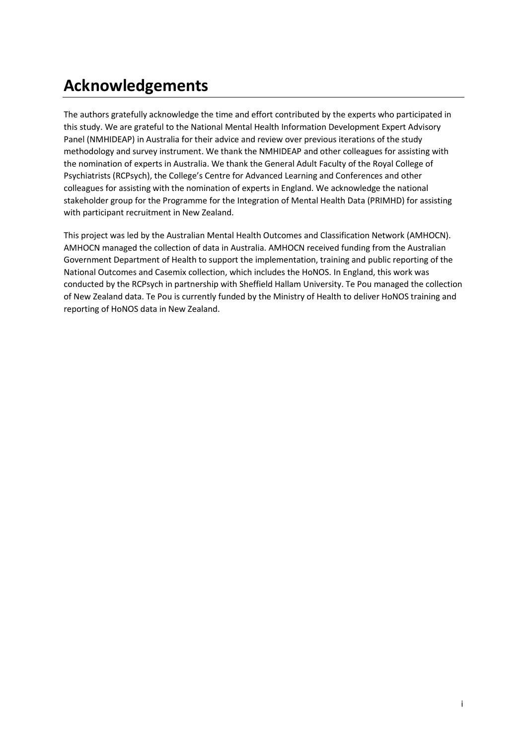# **Acknowledgements**

The authors gratefully acknowledge the time and effort contributed by the experts who participated in this study. We are grateful to the National Mental Health Information Development Expert Advisory Panel (NMHIDEAP) in Australia for their advice and review over previous iterations of the study methodology and survey instrument. We thank the NMHIDEAP and other colleagues for assisting with the nomination of experts in Australia. We thank the General Adult Faculty of the Royal College of Psychiatrists (RCPsych), the College's Centre for Advanced Learning and Conferences and other colleagues for assisting with the nomination of experts in England. We acknowledge the national stakeholder group for the Programme for the Integration of Mental Health Data (PRIMHD) for assisting with participant recruitment in New Zealand.

This project was led by the Australian Mental Health Outcomes and Classification Network (AMHOCN). AMHOCN managed the collection of data in Australia. AMHOCN received funding from the Australian Government Department of Health to support the implementation, training and public reporting of the National Outcomes and Casemix collection, which includes the HoNOS. In England, this work was conducted by the RCPsych in partnership with Sheffield Hallam University. Te Pou managed the collection of New Zealand data. Te Pou is currently funded by the Ministry of Health to deliver HoNOS training and reporting of HoNOS data in New Zealand.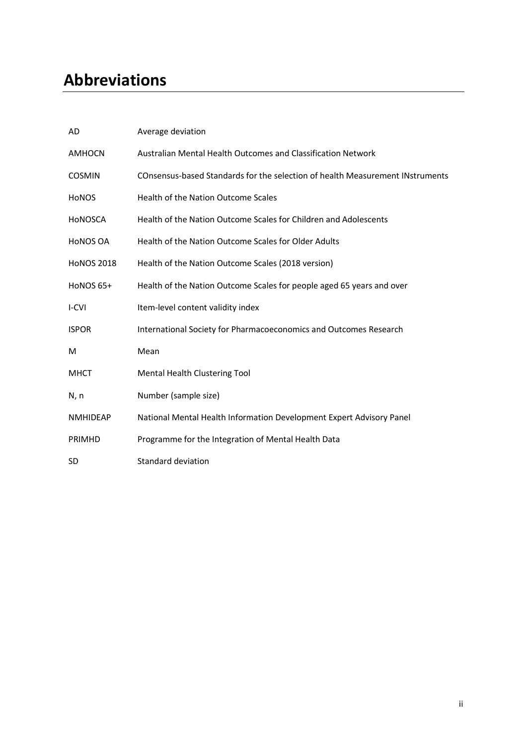# **Abbreviations**

| AD                | Average deviation                                                             |
|-------------------|-------------------------------------------------------------------------------|
| <b>AMHOCN</b>     | Australian Mental Health Outcomes and Classification Network                  |
| <b>COSMIN</b>     | COnsensus-based Standards for the selection of health Measurement INstruments |
| <b>HONOS</b>      | Health of the Nation Outcome Scales                                           |
| HONOSCA           | Health of the Nation Outcome Scales for Children and Adolescents              |
| <b>HONOS OA</b>   | Health of the Nation Outcome Scales for Older Adults                          |
| <b>HONOS 2018</b> | Health of the Nation Outcome Scales (2018 version)                            |
| HoNOS 65+         | Health of the Nation Outcome Scales for people aged 65 years and over         |
| I-CVI             | Item-level content validity index                                             |
| <b>ISPOR</b>      | International Society for Pharmacoeconomics and Outcomes Research             |
| М                 | Mean                                                                          |
| <b>MHCT</b>       | Mental Health Clustering Tool                                                 |
| N, n              | Number (sample size)                                                          |
| <b>NMHIDEAP</b>   | National Mental Health Information Development Expert Advisory Panel          |
| PRIMHD            | Programme for the Integration of Mental Health Data                           |
| <b>SD</b>         | Standard deviation                                                            |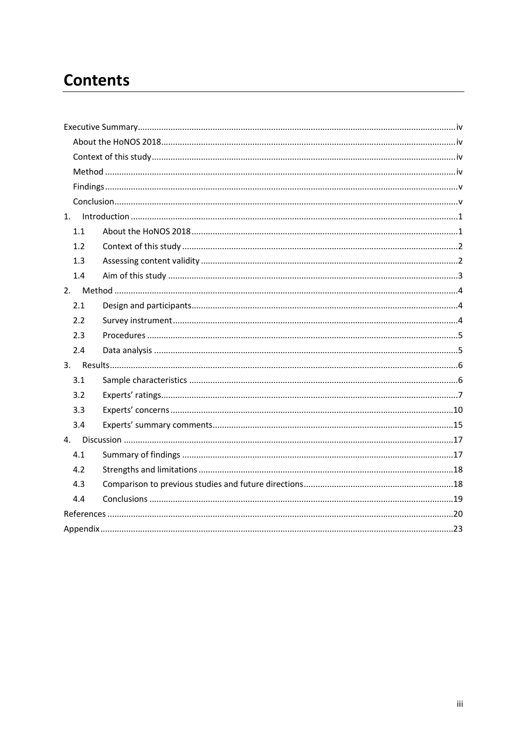# **Contents**

| $\label{lem:1} \mbox{Introduction} \,\, \ldots \,\, \ldots \,\, \ldots \,\, \ldots \,\, \ldots \,\, \ldots \,\, \ldots \,\, \ldots \,\, \ldots \,\, \ldots \,\, \ldots \,\, \ldots \,\, \ldots \,\, \ldots \,\, \ldots \,\, \ldots \,\, \ldots \,\, \ldots \,\, \ldots \,\, \ldots \,\, \ldots \,\, \ldots \,\, \ldots \,\, \ldots \,\, \ldots \,\, \ldots \,\, \ldots \,\, \ldots \,\, \ldots \,\, \ldots \,\, \ldots \,\, \ldots \,\, \ldots \,\, \ldots \,\,$<br>1. |  |
|------------------------------------------------------------------------------------------------------------------------------------------------------------------------------------------------------------------------------------------------------------------------------------------------------------------------------------------------------------------------------------------------------------------------------------------------------------------------|--|
| 1.1                                                                                                                                                                                                                                                                                                                                                                                                                                                                    |  |
| 1.2                                                                                                                                                                                                                                                                                                                                                                                                                                                                    |  |
| 1.3                                                                                                                                                                                                                                                                                                                                                                                                                                                                    |  |
| 1.4                                                                                                                                                                                                                                                                                                                                                                                                                                                                    |  |
|                                                                                                                                                                                                                                                                                                                                                                                                                                                                        |  |
| 2.1                                                                                                                                                                                                                                                                                                                                                                                                                                                                    |  |
| 2.2                                                                                                                                                                                                                                                                                                                                                                                                                                                                    |  |
| 2.3                                                                                                                                                                                                                                                                                                                                                                                                                                                                    |  |
| 2.4                                                                                                                                                                                                                                                                                                                                                                                                                                                                    |  |
|                                                                                                                                                                                                                                                                                                                                                                                                                                                                        |  |
| 3.1                                                                                                                                                                                                                                                                                                                                                                                                                                                                    |  |
| 3.2                                                                                                                                                                                                                                                                                                                                                                                                                                                                    |  |
| 3.3                                                                                                                                                                                                                                                                                                                                                                                                                                                                    |  |
| 3.4                                                                                                                                                                                                                                                                                                                                                                                                                                                                    |  |
|                                                                                                                                                                                                                                                                                                                                                                                                                                                                        |  |
| 4.1                                                                                                                                                                                                                                                                                                                                                                                                                                                                    |  |
| 4.2                                                                                                                                                                                                                                                                                                                                                                                                                                                                    |  |
| 4.3                                                                                                                                                                                                                                                                                                                                                                                                                                                                    |  |
| 4.4                                                                                                                                                                                                                                                                                                                                                                                                                                                                    |  |
|                                                                                                                                                                                                                                                                                                                                                                                                                                                                        |  |
|                                                                                                                                                                                                                                                                                                                                                                                                                                                                        |  |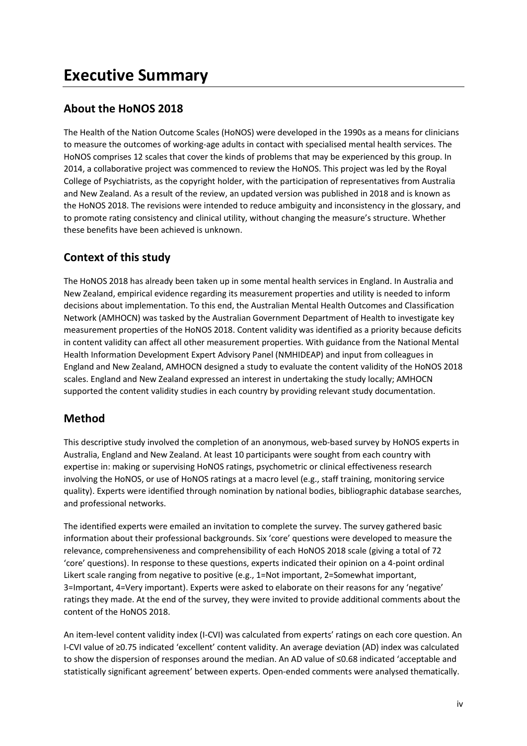# <span id="page-4-1"></span><span id="page-4-0"></span>**About the HoNOS 2018**

The Health of the Nation Outcome Scales (HoNOS) were developed in the 1990s as a means for clinicians to measure the outcomes of working-age adults in contact with specialised mental health services. The HoNOS comprises 12 scales that cover the kinds of problems that may be experienced by this group. In 2014, a collaborative project was commenced to review the HoNOS. This project was led by the Royal College of Psychiatrists, as the copyright holder, with the participation of representatives from Australia and New Zealand. As a result of the review, an updated version was published in 2018 and is known as the HoNOS 2018. The revisions were intended to reduce ambiguity and inconsistency in the glossary, and to promote rating consistency and clinical utility, without changing the measure's structure. Whether these benefits have been achieved is unknown.

# <span id="page-4-2"></span>**Context of this study**

The HoNOS 2018 has already been taken up in some mental health services in England. In Australia and New Zealand, empirical evidence regarding its measurement properties and utility is needed to inform decisions about implementation. To this end, the Australian Mental Health Outcomes and Classification Network (AMHOCN) was tasked by the Australian Government Department of Health to investigate key measurement properties of the HoNOS 2018. Content validity was identified as a priority because deficits in content validity can affect all other measurement properties. With guidance from the National Mental Health Information Development Expert Advisory Panel (NMHIDEAP) and input from colleagues in England and New Zealand, AMHOCN designed a study to evaluate the content validity of the HoNOS 2018 scales. England and New Zealand expressed an interest in undertaking the study locally; AMHOCN supported the content validity studies in each country by providing relevant study documentation.

# <span id="page-4-3"></span>**Method**

This descriptive study involved the completion of an anonymous, web-based survey by HoNOS experts in Australia, England and New Zealand. At least 10 participants were sought from each country with expertise in: making or supervising HoNOS ratings, psychometric or clinical effectiveness research involving the HoNOS, or use of HoNOS ratings at a macro level (e.g., staff training, monitoring service quality). Experts were identified through nomination by national bodies, bibliographic database searches, and professional networks.

The identified experts were emailed an invitation to complete the survey. The survey gathered basic information about their professional backgrounds. Six 'core' questions were developed to measure the relevance, comprehensiveness and comprehensibility of each HoNOS 2018 scale (giving a total of 72 'core' questions). In response to these questions, experts indicated their opinion on a 4-point ordinal Likert scale ranging from negative to positive (e.g., 1=Not important, 2=Somewhat important, 3=Important, 4=Very important). Experts were asked to elaborate on their reasons for any 'negative' ratings they made. At the end of the survey, they were invited to provide additional comments about the content of the HoNOS 2018.

An item-level content validity index (I-CVI) was calculated from experts' ratings on each core question. An I-CVI value of ≥0.75 indicated 'excellent' content validity. An average deviation (AD) index was calculated to show the dispersion of responses around the median. An AD value of ≤0.68 indicated 'acceptable and statistically significant agreement' between experts. Open-ended comments were analysed thematically.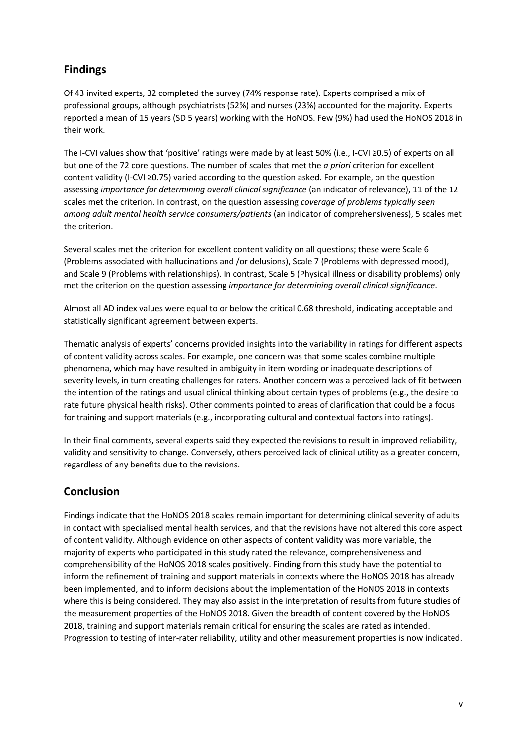# <span id="page-5-0"></span>**Findings**

Of 43 invited experts, 32 completed the survey (74% response rate). Experts comprised a mix of professional groups, although psychiatrists (52%) and nurses (23%) accounted for the majority. Experts reported a mean of 15 years (SD 5 years) working with the HoNOS. Few (9%) had used the HoNOS 2018 in their work.

The I-CVI values show that 'positive' ratings were made by at least 50% (i.e., I-CVI ≥0.5) of experts on all but one of the 72 core questions. The number of scales that met the *a priori* criterion for excellent content validity (I-CVI ≥0.75) varied according to the question asked. For example, on the question assessing *importance for determining overall clinical significance* (an indicator of relevance), 11 of the 12 scales met the criterion. In contrast, on the question assessing *coverage of problems typically seen among adult mental health service consumers/patients* (an indicator of comprehensiveness), 5 scales met the criterion.

Several scales met the criterion for excellent content validity on all questions; these were Scale 6 (Problems associated with hallucinations and /or delusions), Scale 7 (Problems with depressed mood), and Scale 9 (Problems with relationships). In contrast, Scale 5 (Physical illness or disability problems) only met the criterion on the question assessing *importance for determining overall clinical significance*.

Almost all AD index values were equal to or below the critical 0.68 threshold, indicating acceptable and statistically significant agreement between experts.

Thematic analysis of experts' concerns provided insights into the variability in ratings for different aspects of content validity across scales. For example, one concern was that some scales combine multiple phenomena, which may have resulted in ambiguity in item wording or inadequate descriptions of severity levels, in turn creating challenges for raters. Another concern was a perceived lack of fit between the intention of the ratings and usual clinical thinking about certain types of problems (e.g., the desire to rate future physical health risks). Other comments pointed to areas of clarification that could be a focus for training and support materials (e.g., incorporating cultural and contextual factors into ratings).

In their final comments, several experts said they expected the revisions to result in improved reliability, validity and sensitivity to change. Conversely, others perceived lack of clinical utility as a greater concern, regardless of any benefits due to the revisions.

### <span id="page-5-1"></span>**Conclusion**

Findings indicate that the HoNOS 2018 scales remain important for determining clinical severity of adults in contact with specialised mental health services, and that the revisions have not altered this core aspect of content validity. Although evidence on other aspects of content validity was more variable, the majority of experts who participated in this study rated the relevance, comprehensiveness and comprehensibility of the HoNOS 2018 scales positively. Finding from this study have the potential to inform the refinement of training and support materials in contexts where the HoNOS 2018 has already been implemented, and to inform decisions about the implementation of the HoNOS 2018 in contexts where this is being considered. They may also assist in the interpretation of results from future studies of the measurement properties of the HoNOS 2018. Given the breadth of content covered by the HoNOS 2018, training and support materials remain critical for ensuring the scales are rated as intended. Progression to testing of inter-rater reliability, utility and other measurement properties is now indicated.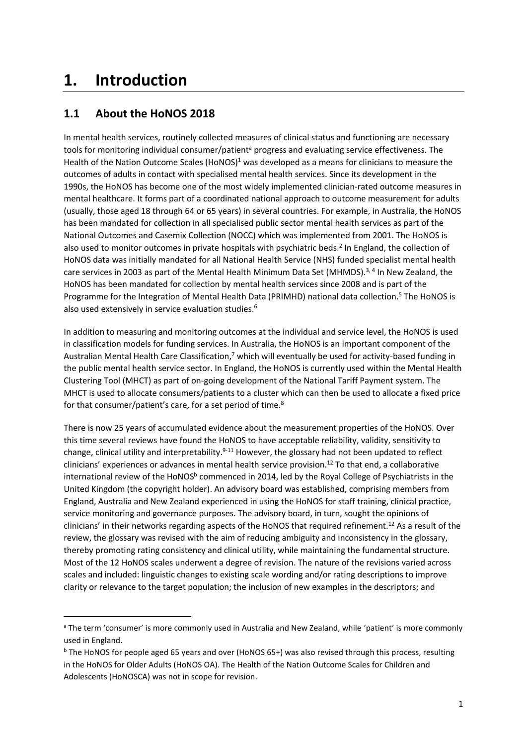# <span id="page-6-0"></span>**1. Introduction**

# <span id="page-6-1"></span>**1.1 About the HoNOS 2018**

In mental health services, routinely collected measures of clinical status and functioning are necessary tools for monitoring individual consumer/patient<sup>a</sup> progress and evaluating service effectiveness. The Health of the Nation Outcome Scales (HoNOS)<sup>1</sup> was developed as a means for clinicians to measure the outcomes of adults in contact with specialised mental health services. Since its development in the 1990s, the HoNOS has become one of the most widely implemented clinician-rated outcome measures in mental healthcare. It forms part of a coordinated national approach to outcome measurement for adults (usually, those aged 18 through 64 or 65 years) in several countries. For example, in Australia, the HoNOS has been mandated for collection in all specialised public sector mental health services as part of the National Outcomes and Casemix Collection (NOCC) which was implemented from 2001. The HoNOS is also used to monitor outcomes in private hospitals with psychiatric beds.<sup>2</sup> In England, the collection of HoNOS data was initially mandated for all National Health Service (NHS) funded specialist mental health care services in 2003 as part of the Mental Health Minimum Data Set (MHMDS).<sup>3, 4</sup> In New Zealand, the HoNOS has been mandated for collection by mental health services since 2008 and is part of the Programme for the Integration of Mental Health Data (PRIMHD) national data collection. <sup>5</sup> The HoNOS is also used extensively in service evaluation studies.<sup>6</sup>

In addition to measuring and monitoring outcomes at the individual and service level, the HoNOS is used in classification models for funding services. In Australia, the HoNOS is an important component of the Australian Mental Health Care Classification,<sup>7</sup> which will eventually be used for activity-based funding in the public mental health service sector. In England, the HoNOS is currently used within the Mental Health Clustering Tool (MHCT) as part of on-going development of the National Tariff Payment system. The MHCT is used to allocate consumers/patients to a cluster which can then be used to allocate a fixed price for that consumer/patient's care, for a set period of time.<sup>8</sup>

There is now 25 years of accumulated evidence about the measurement properties of the HoNOS. Over this time several reviews have found the HoNOS to have acceptable reliability, validity, sensitivity to change, clinical utility and interpretability.<sup>9-11</sup> However, the glossary had not been updated to reflect clinicians' experiences or advances in mental health service provision.<sup>12</sup> To that end, a collaborative international review of the HoNOS<sup>b</sup> commenced in 2014, led by the Royal College of Psychiatrists in the United Kingdom (the copyright holder). An advisory board was established, comprising members from England, Australia and New Zealand experienced in using the HoNOS for staff training, clinical practice, service monitoring and governance purposes. The advisory board, in turn, sought the opinions of clinicians' in their networks regarding aspects of the HoNOS that required refinement.<sup>12</sup> As a result of the review, the glossary was revised with the aim of reducing ambiguity and inconsistency in the glossary, thereby promoting rating consistency and clinical utility, while maintaining the fundamental structure. Most of the 12 HoNOS scales underwent a degree of revision. The nature of the revisions varied across scales and included: linguistic changes to existing scale wording and/or rating descriptions to improve clarity or relevance to the target population; the inclusion of new examples in the descriptors; and

<sup>&</sup>lt;sup>a</sup> The term 'consumer' is more commonly used in Australia and New Zealand, while 'patient' is more commonly used in England.

<sup>&</sup>lt;sup>b</sup> The HoNOS for people aged 65 years and over (HoNOS 65+) was also revised through this process, resulting in the HoNOS for Older Adults (HoNOS OA). The Health of the Nation Outcome Scales for Children and Adolescents (HoNOSCA) was not in scope for revision.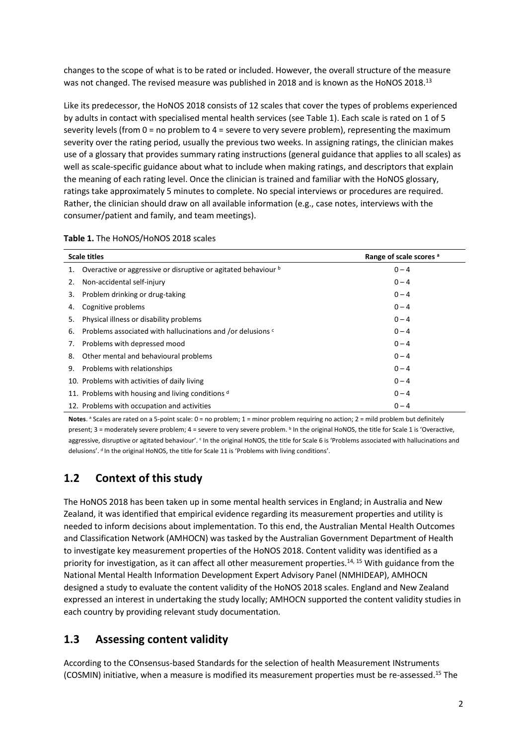changes to the scope of what is to be rated or included. However, the overall structure of the measure was not changed. The revised measure was published in 2018 and is known as the HoNOS 2018.<sup>13</sup>

Like its predecessor, the HoNOS 2018 consists of 12 scales that cover the types of problems experienced by adults in contact with specialised mental health services (see Table 1). Each scale is rated on 1 of 5 severity levels (from 0 = no problem to 4 = severe to very severe problem), representing the maximum severity over the rating period, usually the previous two weeks. In assigning ratings, the clinician makes use of a glossary that provides summary rating instructions (general guidance that applies to all scales) as well as scale-specific guidance about what to include when making ratings, and descriptors that explain the meaning of each rating level. Once the clinician is trained and familiar with the HoNOS glossary, ratings take approximately 5 minutes to complete. No special interviews or procedures are required. Rather, the clinician should draw on all available information (e.g., case notes, interviews with the consumer/patient and family, and team meetings).

| Table 1. The HoNOS/HoNOS 2018 scales |  |  |  |  |  |
|--------------------------------------|--|--|--|--|--|
|--------------------------------------|--|--|--|--|--|

| <b>Scale titles</b>                                                  | Range of scale scores a |
|----------------------------------------------------------------------|-------------------------|
| Overactive or aggressive or disruptive or agitated behaviour b<br>1. | $0 - 4$                 |
| Non-accidental self-injury<br>2.                                     | $0 - 4$                 |
| Problem drinking or drug-taking<br>3.                                | $0 - 4$                 |
| Cognitive problems<br>4.                                             | $0 - 4$                 |
| Physical illness or disability problems<br>5.                        | $0 - 4$                 |
| Problems associated with hallucinations and /or delusions c<br>6.    | $0 - 4$                 |
| Problems with depressed mood<br>7.                                   | $0 - 4$                 |
| Other mental and behavioural problems<br>8.                          | $0 - 4$                 |
| Problems with relationships<br>9.                                    | $0 - 4$                 |
| 10. Problems with activities of daily living                         | $0 - 4$                 |
| 11. Problems with housing and living conditions $d$                  | $0 - 4$                 |
| 12. Problems with occupation and activities                          | $0 - 4$                 |

Notes.<sup>a</sup> Scales are rated on a 5-point scale: 0 = no problem; 1 = minor problem requiring no action; 2 = mild problem but definitely present; 3 = moderately severe problem; 4 = severe to very severe problem. <sup>b</sup> In the original HoNOS, the title for Scale 1 is 'Overactive, aggressive, disruptive or agitated behaviour'. <sup>c</sup> In the original HoNOS, the title for Scale 6 is 'Problems associated with hallucinations and delusions'. <sup>d</sup> In the original HoNOS, the title for Scale 11 is 'Problems with living conditions'.

### <span id="page-7-0"></span>**1.2 Context of this study**

The HoNOS 2018 has been taken up in some mental health services in England; in Australia and New Zealand, it was identified that empirical evidence regarding its measurement properties and utility is needed to inform decisions about implementation. To this end, the Australian Mental Health Outcomes and Classification Network (AMHOCN) was tasked by the Australian Government Department of Health to investigate key measurement properties of the HoNOS 2018. Content validity was identified as a priority for investigation, as it can affect all other measurement properties.<sup>14, 15</sup> With guidance from the National Mental Health Information Development Expert Advisory Panel (NMHIDEAP), AMHOCN designed a study to evaluate the content validity of the HoNOS 2018 scales. England and New Zealand expressed an interest in undertaking the study locally; AMHOCN supported the content validity studies in each country by providing relevant study documentation.

### <span id="page-7-1"></span>**1.3 Assessing content validity**

According to the COnsensus-based Standards for the selection of health Measurement INstruments (COSMIN) initiative, when a measure is modified its measurement properties must be re-assessed.<sup>15</sup> The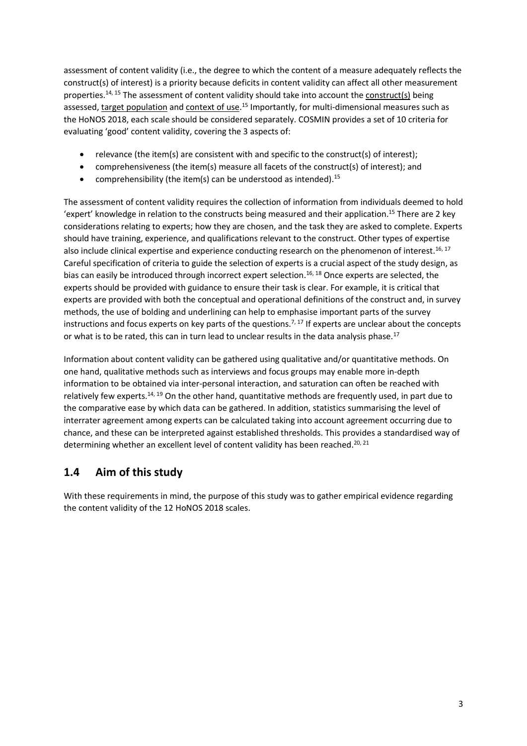assessment of content validity (i.e., the degree to which the content of a measure adequately reflects the construct(s) of interest) is a priority because deficits in content validity can affect all other measurement properties.<sup>14, 15</sup> The assessment of content validity should take into account the construct(s) being assessed, target population and context of use.<sup>15</sup> Importantly, for multi-dimensional measures such as the HoNOS 2018, each scale should be considered separately. COSMIN provides a set of 10 criteria for evaluating 'good' content validity, covering the 3 aspects of:

- relevance (the item(s) are consistent with and specific to the construct(s) of interest);
- comprehensiveness (the item(s) measure all facets of the construct(s) of interest); and
- comprehensibility (the item(s) can be understood as intended).<sup>15</sup>

The assessment of content validity requires the collection of information from individuals deemed to hold 'expert' knowledge in relation to the constructs being measured and their application.<sup>15</sup> There are 2 key considerations relating to experts; how they are chosen, and the task they are asked to complete. Experts should have training, experience, and qualifications relevant to the construct. Other types of expertise also include clinical expertise and experience conducting research on the phenomenon of interest.<sup>16, 17</sup> Careful specification of criteria to guide the selection of experts is a crucial aspect of the study design, as bias can easily be introduced through incorrect expert selection. 16, 18 Once experts are selected, the experts should be provided with guidance to ensure their task is clear. For example, it is critical that experts are provided with both the conceptual and operational definitions of the construct and, in survey methods, the use of bolding and underlining can help to emphasise important parts of the survey instructions and focus experts on key parts of the questions.<sup>7, 17</sup> If experts are unclear about the concepts or what is to be rated, this can in turn lead to unclear results in the data analysis phase.<sup>17</sup>

Information about content validity can be gathered using qualitative and/or quantitative methods. On one hand, qualitative methods such as interviews and focus groups may enable more in-depth information to be obtained via inter-personal interaction, and saturation can often be reached with relatively few experts.<sup>14, 19</sup> On the other hand, quantitative methods are frequently used, in part due to the comparative ease by which data can be gathered. In addition, statistics summarising the level of interrater agreement among experts can be calculated taking into account agreement occurring due to chance, and these can be interpreted against established thresholds. This provides a standardised way of determining whether an excellent level of content validity has been reached.<sup>20, 21</sup>

# <span id="page-8-0"></span>**1.4 Aim of this study**

With these requirements in mind, the purpose of this study was to gather empirical evidence regarding the content validity of the 12 HoNOS 2018 scales.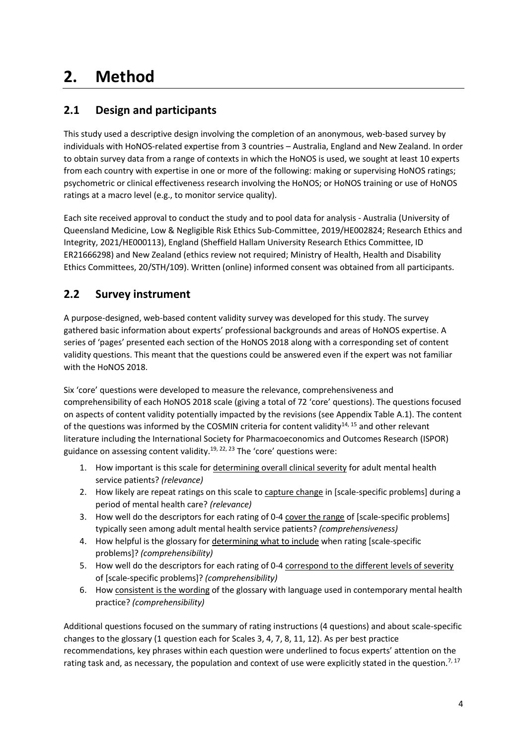# <span id="page-9-0"></span>**2. Method**

# <span id="page-9-1"></span>**2.1 Design and participants**

This study used a descriptive design involving the completion of an anonymous, web-based survey by individuals with HoNOS-related expertise from 3 countries – Australia, England and New Zealand. In order to obtain survey data from a range of contexts in which the HoNOS is used, we sought at least 10 experts from each country with expertise in one or more of the following: making or supervising HoNOS ratings; psychometric or clinical effectiveness research involving the HoNOS; or HoNOS training or use of HoNOS ratings at a macro level (e.g., to monitor service quality).

Each site received approval to conduct the study and to pool data for analysis - Australia (University of Queensland Medicine, Low & Negligible Risk Ethics Sub-Committee, 2019/HE002824; Research Ethics and Integrity, 2021/HE000113), England (Sheffield Hallam University Research Ethics Committee, ID ER21666298) and New Zealand (ethics review not required; Ministry of Health, Health and Disability Ethics Committees, 20/STH/109). Written (online) informed consent was obtained from all participants.

# <span id="page-9-2"></span>**2.2 Survey instrument**

A purpose-designed, web-based content validity survey was developed for this study. The survey gathered basic information about experts' professional backgrounds and areas of HoNOS expertise. A series of 'pages' presented each section of the HoNOS 2018 along with a corresponding set of content validity questions. This meant that the questions could be answered even if the expert was not familiar with the HoNOS 2018.

Six 'core' questions were developed to measure the relevance, comprehensiveness and comprehensibility of each HoNOS 2018 scale (giving a total of 72 'core' questions). The questions focused on aspects of content validity potentially impacted by the revisions (see Appendix Table A.1). The content of the questions was informed by the COSMIN criteria for content validity<sup>14, 15</sup> and other relevant literature including the International Society for Pharmacoeconomics and Outcomes Research (ISPOR) guidance on assessing content validity.<sup>19, 22, 23</sup> The 'core' questions were:

- 1. How important is this scale for determining overall clinical severity for adult mental health service patients? *(relevance)*
- 2. How likely are repeat ratings on this scale to capture change in [scale-specific problems] during a period of mental health care? *(relevance)*
- 3. How well do the descriptors for each rating of 0-4 cover the range of [scale-specific problems] typically seen among adult mental health service patients? *(comprehensiveness)*
- 4. How helpful is the glossary for determining what to include when rating [scale-specific problems]? *(comprehensibility)*
- 5. How well do the descriptors for each rating of 0-4 correspond to the different levels of severity of [scale-specific problems]? *(comprehensibility)*
- 6. How consistent is the wording of the glossary with language used in contemporary mental health practice? *(comprehensibility)*

Additional questions focused on the summary of rating instructions (4 questions) and about scale-specific changes to the glossary (1 question each for Scales 3, 4, 7, 8, 11, 12). As per best practice recommendations, key phrases within each question were underlined to focus experts' attention on the rating task and, as necessary, the population and context of use were explicitly stated in the question.<sup>7, 17</sup>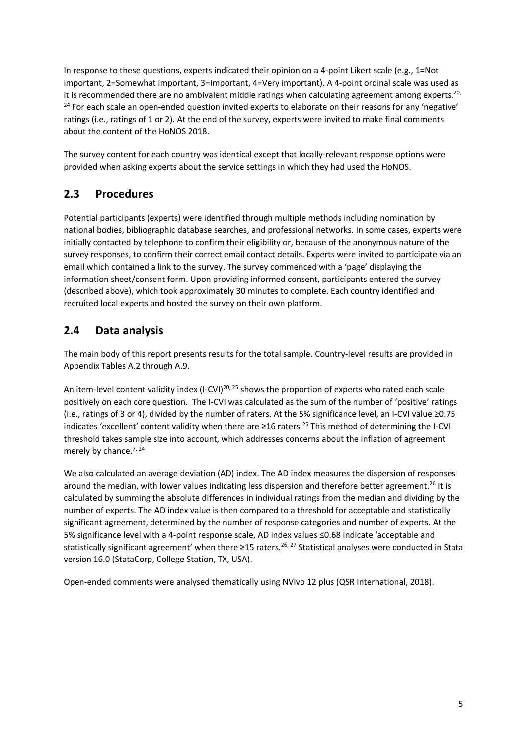In response to these questions, experts indicated their opinion on a 4-point Likert scale (e.g., 1=Not important, 2=Somewhat important, 3=Important, 4=Very important). A 4-point ordinal scale was used as it is recommended there are no ambivalent middle ratings when calculating agreement among experts.<sup>20,</sup> <sup>24</sup> For each scale an open-ended question invited experts to elaborate on their reasons for any 'negative' ratings (i.e., ratings of 1 or 2). At the end of the survey, experts were invited to make final comments about the content of the HoNOS 2018.

The survey content for each country was identical except that locally-relevant response options were provided when asking experts about the service settings in which they had used the HoNOS.

# <span id="page-10-0"></span>**2.3 Procedures**

Potential participants (experts) were identified through multiple methods including nomination by national bodies, bibliographic database searches, and professional networks. In some cases, experts were initially contacted by telephone to confirm their eligibility or, because of the anonymous nature of the survey responses, to confirm their correct email contact details. Experts were invited to participate via an email which contained a link to the survey. The survey commenced with a 'page' displaying the information sheet/consent form. Upon providing informed consent, participants entered the survey (described above), which took approximately 30 minutes to complete. Each country identified and recruited local experts and hosted the survey on their own platform.

# <span id="page-10-1"></span>**2.4 Data analysis**

The main body of this report presents results for the total sample. Country-level results are provided in Appendix Tables A.2 through A.9.

An item-level content validity index (I-CVI)<sup>20, 25</sup> shows the proportion of experts who rated each scale positively on each core question. The I-CVI was calculated as the sum of the number of 'positive' ratings (i.e., ratings of 3 or 4), divided by the number of raters. At the 5% significance level, an I-CVI value ≥0.75 indicates 'excellent' content validity when there are ≥16 raters.<sup>25</sup> This method of determining the I-CVI threshold takes sample size into account, which addresses concerns about the inflation of agreement merely by chance.<sup>7, 24</sup>

We also calculated an average deviation (AD) index. The AD index measures the dispersion of responses around the median, with lower values indicating less dispersion and therefore better agreement.<sup>26</sup> It is calculated by summing the absolute differences in individual ratings from the median and dividing by the number of experts. The AD index value is then compared to a threshold for acceptable and statistically significant agreement, determined by the number of response categories and number of experts. At the 5% significance level with a 4-point response scale, AD index values ≤0.68 indicate 'acceptable and statistically significant agreement' when there ≥15 raters.<sup>26, 27</sup> Statistical analyses were conducted in Stata version 16.0 (StataCorp, College Station, TX, USA).

Open-ended comments were analysed thematically using NVivo 12 plus (QSR International, 2018).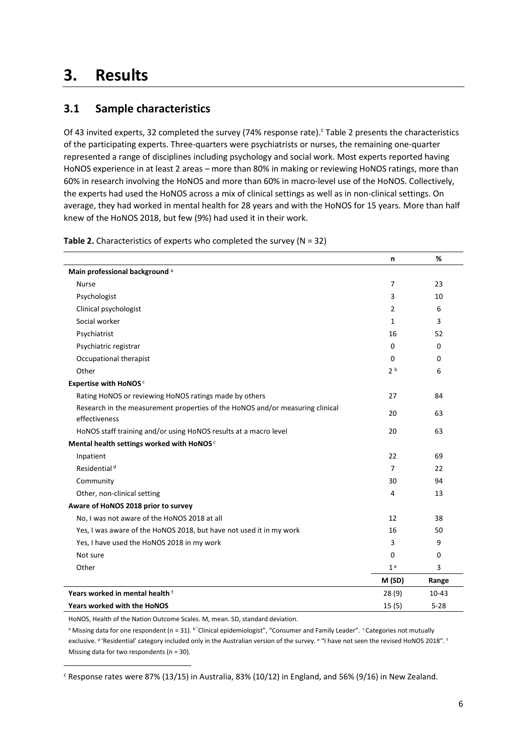# <span id="page-11-0"></span>**3. Results**

# <span id="page-11-1"></span>**3.1 Sample characteristics**

Of 43 invited experts, 32 completed the survey (74% response rate). Table 2 presents the characteristics of the participating experts. Three-quarters were psychiatrists or nurses, the remaining one-quarter represented a range of disciplines including psychology and social work. Most experts reported having HoNOS experience in at least 2 areas – more than 80% in making or reviewing HoNOS ratings, more than 60% in research involving the HoNOS and more than 60% in macro-level use of the HoNOS. Collectively, the experts had used the HoNOS across a mix of clinical settings as well as in non-clinical settings. On average, they had worked in mental health for 28 years and with the HoNOS for 15 years. More than half knew of the HoNOS 2018, but few (9%) had used it in their work.

|                                                                               | n              | %         |
|-------------------------------------------------------------------------------|----------------|-----------|
| Main professional background <sup>a</sup>                                     |                |           |
| <b>Nurse</b>                                                                  | 7              | 23        |
| Psychologist                                                                  | 3              | 10        |
| Clinical psychologist                                                         | 2              | 6         |
| Social worker                                                                 | $\mathbf{1}$   | 3         |
| Psychiatrist                                                                  | 16             | 52        |
| Psychiatric registrar                                                         | 0              | 0         |
| Occupational therapist                                                        | 0              | 0         |
| Other                                                                         | 2 <sup>b</sup> | 6         |
| <b>Expertise with HoNOS</b> <sup>c</sup>                                      |                |           |
| Rating HoNOS or reviewing HoNOS ratings made by others                        | 27             | 84        |
| Research in the measurement properties of the HoNOS and/or measuring clinical | 20             | 63        |
| effectiveness                                                                 |                |           |
| HoNOS staff training and/or using HoNOS results at a macro level              | 20             | 63        |
| Mental health settings worked with HoNOS <sup>c</sup>                         |                |           |
| Inpatient                                                                     | 22             | 69        |
| Residential <sup>d</sup>                                                      | 7              | 22        |
| Community                                                                     | 30             | 94        |
| Other, non-clinical setting                                                   | 4              | 13        |
| Aware of HoNOS 2018 prior to survey                                           |                |           |
| No, I was not aware of the HoNOS 2018 at all                                  | 12             | 38        |
| Yes, I was aware of the HoNOS 2018, but have not used it in my work           | 16             | 50        |
| Yes, I have used the HoNOS 2018 in my work                                    | 3              | 9         |
| Not sure                                                                      | $\Omega$       | 0         |
| Other                                                                         | 1 <sup>e</sup> | 3         |
|                                                                               | M (SD)         | Range     |
| Years worked in mental health f                                               | 28(9)          | $10 - 43$ |
| <b>Years worked with the HoNOS</b>                                            | 15(5)          | $5 - 28$  |

**Table 2.** Characteristics of experts who completed the survey (N = 32)

HoNOS, Health of the Nation Outcome Scales. M, mean. SD, standard deviation.

 $^{\rm a}$  Missing data for one respondent (n = 31).  $^{\rm b}$  "Clinical epidemiologist", "Consumer and Family Leader". <code>Categories</code> not mutually exclusive. <sup>d</sup>'Residential' category included only in the Australian version of the survey. <sup>e</sup> "I have not seen the revised HoNOS 2018". <sup>1</sup> Missing data for two respondents (n = 30).

 $c$  Response rates were 87% (13/15) in Australia, 83% (10/12) in England, and 56% (9/16) in New Zealand.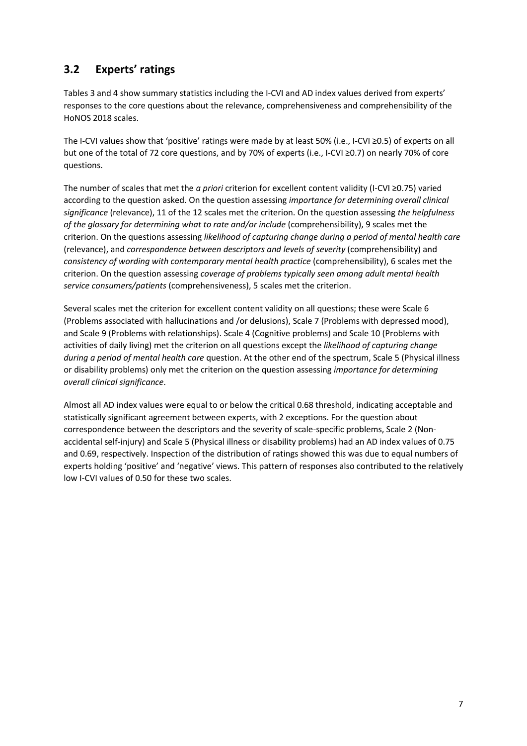# <span id="page-12-0"></span>**3.2 Experts' ratings**

Tables 3 and 4 show summary statistics including the I-CVI and AD index values derived from experts' responses to the core questions about the relevance, comprehensiveness and comprehensibility of the HoNOS 2018 scales.

The I-CVI values show that 'positive' ratings were made by at least 50% (i.e., I-CVI ≥0.5) of experts on all but one of the total of 72 core questions, and by 70% of experts (i.e., I-CVI ≥0.7) on nearly 70% of core questions.

The number of scales that met the *a priori* criterion for excellent content validity (I-CVI ≥0.75) varied according to the question asked. On the question assessing *importance for determining overall clinical significance* (relevance), 11 of the 12 scales met the criterion. On the question assessing *the helpfulness of the glossary for determining what to rate and/or include* (comprehensibility), 9 scales met the criterion. On the questions assessing *likelihood of capturing change during a period of mental health care* (relevance), and *correspondence between descriptors and levels of severity* (comprehensibility) and *consistency of wording with contemporary mental health practice* (comprehensibility), 6 scales met the criterion. On the question assessing *coverage of problems typically seen among adult mental health service consumers/patients* (comprehensiveness), 5 scales met the criterion.

Several scales met the criterion for excellent content validity on all questions; these were Scale 6 (Problems associated with hallucinations and /or delusions), Scale 7 (Problems with depressed mood), and Scale 9 (Problems with relationships). Scale 4 (Cognitive problems) and Scale 10 (Problems with activities of daily living) met the criterion on all questions except the *likelihood of capturing change during a period of mental health care* question. At the other end of the spectrum, Scale 5 (Physical illness or disability problems) only met the criterion on the question assessing *importance for determining overall clinical significance*.

Almost all AD index values were equal to or below the critical 0.68 threshold, indicating acceptable and statistically significant agreement between experts, with 2 exceptions. For the question about correspondence between the descriptors and the severity of scale-specific problems, Scale 2 (Nonaccidental self-injury) and Scale 5 (Physical illness or disability problems) had an AD index values of 0.75 and 0.69, respectively. Inspection of the distribution of ratings showed this was due to equal numbers of experts holding 'positive' and 'negative' views. This pattern of responses also contributed to the relatively low I-CVI values of 0.50 for these two scales.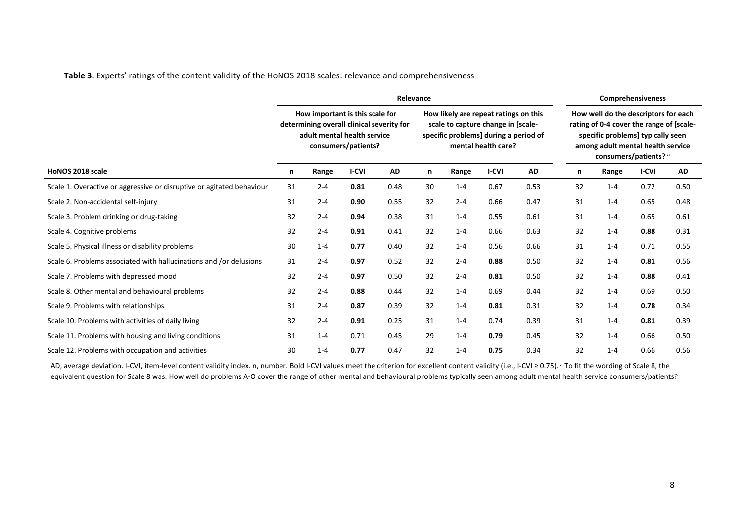|                                                                       | Relevance                                                                                                                          |         |              |           |    |                                                                                                                                             |              |      |    | <b>Comprehensiveness</b>                                                                                                                                                            |              |      |  |  |
|-----------------------------------------------------------------------|------------------------------------------------------------------------------------------------------------------------------------|---------|--------------|-----------|----|---------------------------------------------------------------------------------------------------------------------------------------------|--------------|------|----|-------------------------------------------------------------------------------------------------------------------------------------------------------------------------------------|--------------|------|--|--|
|                                                                       | How important is this scale for<br>determining overall clinical severity for<br>adult mental health service<br>consumers/patients? |         |              |           |    | How likely are repeat ratings on this<br>scale to capture change in [scale-<br>specific problems] during a period of<br>mental health care? |              |      |    | How well do the descriptors for each<br>rating of 0-4 cover the range of [scale-<br>specific problems] typically seen<br>among adult mental health service<br>consumers/patients? a |              |      |  |  |
| HoNOS 2018 scale                                                      | n                                                                                                                                  | Range   | <b>I-CVI</b> | <b>AD</b> | n  | Range                                                                                                                                       | <b>I-CVI</b> | AD   | n  | Range                                                                                                                                                                               | <b>I-CVI</b> | AD   |  |  |
| Scale 1. Overactive or aggressive or disruptive or agitated behaviour | 31                                                                                                                                 | $2 - 4$ | 0.81         | 0.48      | 30 | $1 - 4$                                                                                                                                     | 0.67         | 0.53 | 32 | $1 - 4$                                                                                                                                                                             | 0.72         | 0.50 |  |  |
| Scale 2. Non-accidental self-injury                                   | 31                                                                                                                                 | $2 - 4$ | 0.90         | 0.55      | 32 | $2 - 4$                                                                                                                                     | 0.66         | 0.47 | 31 | $1 - 4$                                                                                                                                                                             | 0.65         | 0.48 |  |  |
| Scale 3. Problem drinking or drug-taking                              | 32                                                                                                                                 | $2 - 4$ | 0.94         | 0.38      | 31 | $1 - 4$                                                                                                                                     | 0.55         | 0.61 | 31 | $1 - 4$                                                                                                                                                                             | 0.65         | 0.61 |  |  |
| Scale 4. Cognitive problems                                           | 32                                                                                                                                 | $2 - 4$ | 0.91         | 0.41      | 32 | $1 - 4$                                                                                                                                     | 0.66         | 0.63 | 32 | $1 - 4$                                                                                                                                                                             | 0.88         | 0.31 |  |  |
| Scale 5. Physical illness or disability problems                      | 30                                                                                                                                 | $1 - 4$ | 0.77         | 0.40      | 32 | $1 - 4$                                                                                                                                     | 0.56         | 0.66 | 31 | $1 - 4$                                                                                                                                                                             | 0.71         | 0.55 |  |  |
| Scale 6. Problems associated with hallucinations and /or delusions    | 31                                                                                                                                 | $2 - 4$ | 0.97         | 0.52      | 32 | $2 - 4$                                                                                                                                     | 0.88         | 0.50 | 32 | $1 - 4$                                                                                                                                                                             | 0.81         | 0.56 |  |  |
| Scale 7. Problems with depressed mood                                 | 32                                                                                                                                 | $2 - 4$ | 0.97         | 0.50      | 32 | $2 - 4$                                                                                                                                     | 0.81         | 0.50 | 32 | $1 - 4$                                                                                                                                                                             | 0.88         | 0.41 |  |  |
| Scale 8. Other mental and behavioural problems                        | 32                                                                                                                                 | $2 - 4$ | 0.88         | 0.44      | 32 | $1 - 4$                                                                                                                                     | 0.69         | 0.44 | 32 | $1 - 4$                                                                                                                                                                             | 0.69         | 0.50 |  |  |
| Scale 9. Problems with relationships                                  | 31                                                                                                                                 | $2 - 4$ | 0.87         | 0.39      | 32 | $1 - 4$                                                                                                                                     | 0.81         | 0.31 | 32 | $1 - 4$                                                                                                                                                                             | 0.78         | 0.34 |  |  |
| Scale 10. Problems with activities of daily living                    | 32                                                                                                                                 | $2 - 4$ | 0.91         | 0.25      | 31 | $1 - 4$                                                                                                                                     | 0.74         | 0.39 | 31 | $1 - 4$                                                                                                                                                                             | 0.81         | 0.39 |  |  |
| Scale 11. Problems with housing and living conditions                 | 31                                                                                                                                 | $1 - 4$ | 0.71         | 0.45      | 29 | $1 - 4$                                                                                                                                     | 0.79         | 0.45 | 32 | $1 - 4$                                                                                                                                                                             | 0.66         | 0.50 |  |  |
| Scale 12. Problems with occupation and activities                     | 30                                                                                                                                 | $1 - 4$ | 0.77         | 0.47      | 32 | $1 - 4$                                                                                                                                     | 0.75         | 0.34 | 32 | $1 - 4$                                                                                                                                                                             | 0.66         | 0.56 |  |  |

**Table 3.** Experts' ratings of the content validity of the HoNOS 2018 scales: relevance and comprehensiveness

AD, average deviation. I-CVI, item-level content validity index. n, number. Bold I-CVI values meet the criterion for excellent content validity (i.e., I-CVI ≥ 0.75). <sup>a</sup> To fit the wording of Scale 8, the equivalent question for Scale 8 was: How well do problems A-O cover the range of other mental and behavioural problems typically seen among adult mental health service consumers/patients?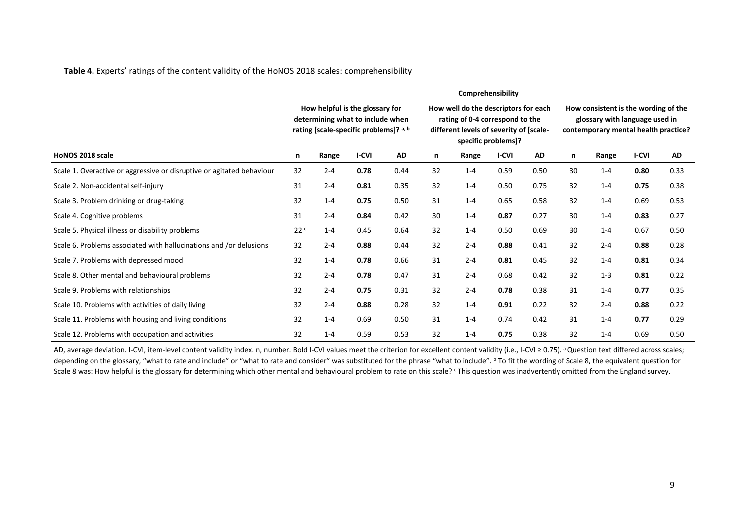**Table 4.** Experts' ratings of the content validity of the HoNOS 2018 scales: comprehensibility

|                                                                       |                                                                                                               |         |              |                                                                                                                                           |    | Comprehensibility |              |                                                                                                                |    |         |              |      |
|-----------------------------------------------------------------------|---------------------------------------------------------------------------------------------------------------|---------|--------------|-------------------------------------------------------------------------------------------------------------------------------------------|----|-------------------|--------------|----------------------------------------------------------------------------------------------------------------|----|---------|--------------|------|
|                                                                       | How helpful is the glossary for<br>determining what to include when<br>rating [scale-specific problems]? a, b |         |              | How well do the descriptors for each<br>rating of 0-4 correspond to the<br>different levels of severity of [scale-<br>specific problems]? |    |                   |              | How consistent is the wording of the<br>glossary with language used in<br>contemporary mental health practice? |    |         |              |      |
| HoNOS 2018 scale                                                      | n                                                                                                             | Range   | <b>I-CVI</b> | AD                                                                                                                                        | n  | Range             | <b>I-CVI</b> | AD                                                                                                             | n  | Range   | <b>I-CVI</b> | AD   |
| Scale 1. Overactive or aggressive or disruptive or agitated behaviour | 32                                                                                                            | $2 - 4$ | 0.78         | 0.44                                                                                                                                      | 32 | $1 - 4$           | 0.59         | 0.50                                                                                                           | 30 | $1 - 4$ | 0.80         | 0.33 |
| Scale 2. Non-accidental self-injury                                   | 31                                                                                                            | $2 - 4$ | 0.81         | 0.35                                                                                                                                      | 32 | $1 - 4$           | 0.50         | 0.75                                                                                                           | 32 | $1 - 4$ | 0.75         | 0.38 |
| Scale 3. Problem drinking or drug-taking                              | 32                                                                                                            | $1 - 4$ | 0.75         | 0.50                                                                                                                                      | 31 | $1 - 4$           | 0.65         | 0.58                                                                                                           | 32 | $1 - 4$ | 0.69         | 0.53 |
| Scale 4. Cognitive problems                                           | 31                                                                                                            | $2 - 4$ | 0.84         | 0.42                                                                                                                                      | 30 | $1 - 4$           | 0.87         | 0.27                                                                                                           | 30 | $1 - 4$ | 0.83         | 0.27 |
| Scale 5. Physical illness or disability problems                      | 22c                                                                                                           | $1 - 4$ | 0.45         | 0.64                                                                                                                                      | 32 | $1 - 4$           | 0.50         | 0.69                                                                                                           | 30 | $1 - 4$ | 0.67         | 0.50 |
| Scale 6. Problems associated with hallucinations and /or delusions    | 32                                                                                                            | $2 - 4$ | 0.88         | 0.44                                                                                                                                      | 32 | $2 - 4$           | 0.88         | 0.41                                                                                                           | 32 | $2 - 4$ | 0.88         | 0.28 |
| Scale 7. Problems with depressed mood                                 | 32                                                                                                            | $1 - 4$ | 0.78         | 0.66                                                                                                                                      | 31 | $2 - 4$           | 0.81         | 0.45                                                                                                           | 32 | $1 - 4$ | 0.81         | 0.34 |
| Scale 8. Other mental and behavioural problems                        | 32                                                                                                            | $2 - 4$ | 0.78         | 0.47                                                                                                                                      | 31 | $2 - 4$           | 0.68         | 0.42                                                                                                           | 32 | $1 - 3$ | 0.81         | 0.22 |
| Scale 9. Problems with relationships                                  | 32                                                                                                            | $2 - 4$ | 0.75         | 0.31                                                                                                                                      | 32 | $2 - 4$           | 0.78         | 0.38                                                                                                           | 31 | $1 - 4$ | 0.77         | 0.35 |
| Scale 10. Problems with activities of daily living                    | 32                                                                                                            | $2 - 4$ | 0.88         | 0.28                                                                                                                                      | 32 | $1 - 4$           | 0.91         | 0.22                                                                                                           | 32 | $2 - 4$ | 0.88         | 0.22 |
| Scale 11. Problems with housing and living conditions                 | 32                                                                                                            | $1 - 4$ | 0.69         | 0.50                                                                                                                                      | 31 | $1 - 4$           | 0.74         | 0.42                                                                                                           | 31 | $1 - 4$ | 0.77         | 0.29 |
| Scale 12. Problems with occupation and activities                     | 32                                                                                                            | $1 - 4$ | 0.59         | 0.53                                                                                                                                      | 32 | $1 - 4$           | 0.75         | 0.38                                                                                                           | 32 | $1 - 4$ | 0.69         | 0.50 |

AD, average deviation. I-CVI, item-level content validity index. n, number. Bold I-CVI values meet the criterion for excellent content validity (i.e., I-CVI ≥ 0.75). <sup>a</sup> Question text differed across scales; depending on the glossary, "what to rate and include" or "what to rate and consider" was substituted for the phrase "what to include". <sup>b</sup> To fit the wording of Scale 8, the equivalent question for Scale 8 was: How helpful is the glossary for determining which other mental and behavioural problem to rate on this scale? This question was inadvertently omitted from the England survey.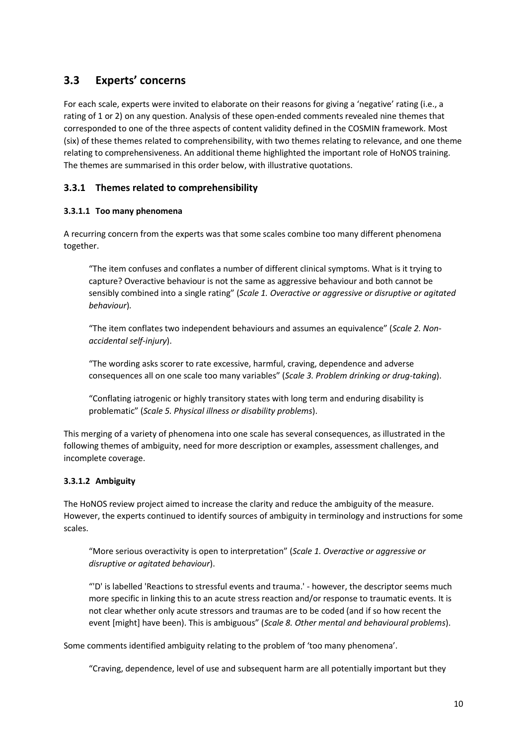### <span id="page-15-0"></span>**3.3 Experts' concerns**

For each scale, experts were invited to elaborate on their reasons for giving a 'negative' rating (i.e., a rating of 1 or 2) on any question. Analysis of these open-ended comments revealed nine themes that corresponded to one of the three aspects of content validity defined in the COSMIN framework. Most (six) of these themes related to comprehensibility, with two themes relating to relevance, and one theme relating to comprehensiveness. An additional theme highlighted the important role of HoNOS training. The themes are summarised in this order below, with illustrative quotations.

#### **3.3.1 Themes related to comprehensibility**

#### **3.3.1.1 Too many phenomena**

A recurring concern from the experts was that some scales combine too many different phenomena together.

"The item confuses and conflates a number of different clinical symptoms. What is it trying to capture? Overactive behaviour is not the same as aggressive behaviour and both cannot be sensibly combined into a single rating" (*Scale 1. Overactive or aggressive or disruptive or agitated behaviour*)*.*

"The item conflates two independent behaviours and assumes an equivalence" (*Scale 2. Nonaccidental self-injury*).

"The wording asks scorer to rate excessive, harmful, craving, dependence and adverse consequences all on one scale too many variables" (*Scale 3. Problem drinking or drug-taking*).

"Conflating iatrogenic or highly transitory states with long term and enduring disability is problematic" (*Scale 5. Physical illness or disability problems*).

This merging of a variety of phenomena into one scale has several consequences, as illustrated in the following themes of ambiguity, need for more description or examples, assessment challenges, and incomplete coverage.

#### **3.3.1.2 Ambiguity**

The HoNOS review project aimed to increase the clarity and reduce the ambiguity of the measure. However, the experts continued to identify sources of ambiguity in terminology and instructions for some scales.

"More serious overactivity is open to interpretation" (*Scale 1. Overactive or aggressive or disruptive or agitated behaviour*).

"'D' is labelled 'Reactions to stressful events and trauma.' - however, the descriptor seems much more specific in linking this to an acute stress reaction and/or response to traumatic events. It is not clear whether only acute stressors and traumas are to be coded (and if so how recent the event [might] have been). This is ambiguous" (*Scale 8. Other mental and behavioural problems*).

Some comments identified ambiguity relating to the problem of 'too many phenomena'.

"Craving, dependence, level of use and subsequent harm are all potentially important but they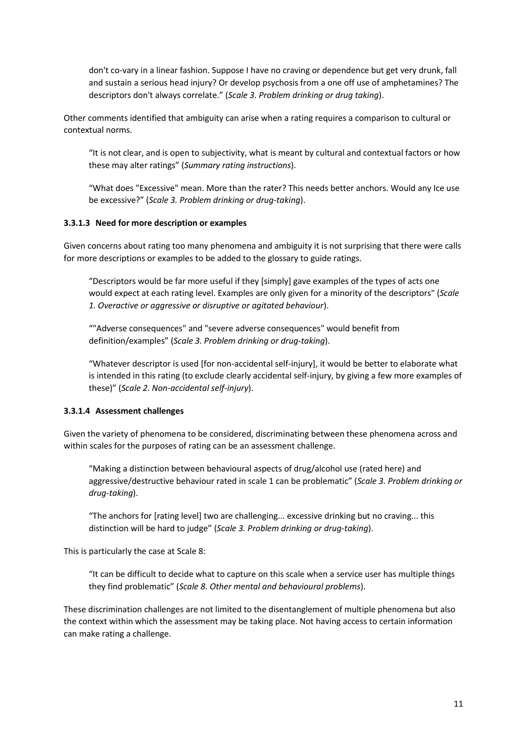don't co-vary in a linear fashion. Suppose I have no craving or dependence but get very drunk, fall and sustain a serious head injury? Or develop psychosis from a one off use of amphetamines? The descriptors don't always correlate." (*Scale 3. Problem drinking or drug taking*).

Other comments identified that ambiguity can arise when a rating requires a comparison to cultural or contextual norms.

"It is not clear, and is open to subjectivity, what is meant by cultural and contextual factors or how these may alter ratings" (*Summary rating instructions*).

"What does "Excessive" mean. More than the rater? This needs better anchors. Would any Ice use be excessive?" (*Scale 3. Problem drinking or drug-taking*).

#### **3.3.1.3 Need for more description or examples**

Given concerns about rating too many phenomena and ambiguity it is not surprising that there were calls for more descriptions or examples to be added to the glossary to guide ratings.

"Descriptors would be far more useful if they [simply] gave examples of the types of acts one would expect at each rating level. Examples are only given for a minority of the descriptors" (*Scale 1. Overactive or aggressive or disruptive or agitated behaviour*).

""Adverse consequences" and "severe adverse consequences" would benefit from definition/examples" (*Scale 3. Problem drinking or drug-taking*).

"Whatever descriptor is used [for non-accidental self-injury], it would be better to elaborate what is intended in this rating (to exclude clearly accidental self-injury, by giving a few more examples of these)" (*Scale 2. Non-accidental self-injury*).

#### **3.3.1.4 Assessment challenges**

Given the variety of phenomena to be considered, discriminating between these phenomena across and within scales for the purposes of rating can be an assessment challenge.

"Making a distinction between behavioural aspects of drug/alcohol use (rated here) and aggressive/destructive behaviour rated in scale 1 can be problematic" (*Scale 3. Problem drinking or drug-taking*).

"The anchors for [rating level] two are challenging... excessive drinking but no craving... this distinction will be hard to judge" (*Scale 3. Problem drinking or drug-taking*).

This is particularly the case at Scale 8:

"It can be difficult to decide what to capture on this scale when a service user has multiple things they find problematic" (*Scale 8. Other mental and behavioural problems*).

These discrimination challenges are not limited to the disentanglement of multiple phenomena but also the context within which the assessment may be taking place. Not having access to certain information can make rating a challenge.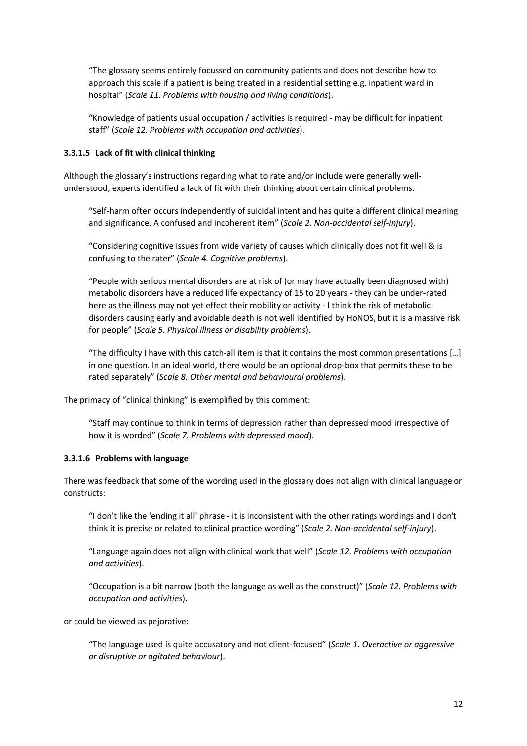"The glossary seems entirely focussed on community patients and does not describe how to approach this scale if a patient is being treated in a residential setting e.g. inpatient ward in hospital" (*Scale 11. Problems with housing and living conditions*).

"Knowledge of patients usual occupation / activities is required - may be difficult for inpatient staff" (*Scale 12. Problems with occupation and activities*).

#### **3.3.1.5 Lack of fit with clinical thinking**

Although the glossary's instructions regarding what to rate and/or include were generally wellunderstood, experts identified a lack of fit with their thinking about certain clinical problems.

"Self-harm often occurs independently of suicidal intent and has quite a different clinical meaning and significance. A confused and incoherent item" (*Scale 2. Non-accidental self-injury*).

"Considering cognitive issues from wide variety of causes which clinically does not fit well & is confusing to the rater" (*Scale 4. Cognitive problems*).

"People with serious mental disorders are at risk of (or may have actually been diagnosed with) metabolic disorders have a reduced life expectancy of 15 to 20 years - they can be under-rated here as the illness may not yet effect their mobility or activity - I think the risk of metabolic disorders causing early and avoidable death is not well identified by HoNOS, but it is a massive risk for people" (*Scale 5. Physical illness or disability problems*).

"The difficulty I have with this catch-all item is that it contains the most common presentations […] in one question. In an ideal world, there would be an optional drop-box that permits these to be rated separately" (*Scale 8. Other mental and behavioural problems*).

The primacy of "clinical thinking" is exemplified by this comment:

"Staff may continue to think in terms of depression rather than depressed mood irrespective of how it is worded" (*Scale 7. Problems with depressed mood*).

#### **3.3.1.6 Problems with language**

There was feedback that some of the wording used in the glossary does not align with clinical language or constructs:

"I don't like the 'ending it all' phrase - it is inconsistent with the other ratings wordings and I don't think it is precise or related to clinical practice wording" (*Scale 2. Non-accidental self-injury*).

"Language again does not align with clinical work that well" (*Scale 12. Problems with occupation and activities*).

"Occupation is a bit narrow (both the language as well as the construct)" (*Scale 12. Problems with occupation and activities*).

or could be viewed as pejorative:

"The language used is quite accusatory and not client-focused" (*Scale 1. Overactive or aggressive or disruptive or agitated behaviour*).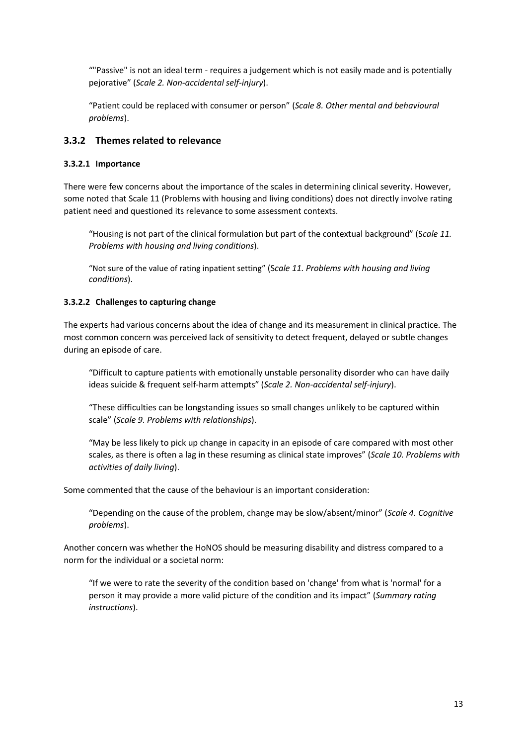""Passive" is not an ideal term - requires a judgement which is not easily made and is potentially pejorative" (*Scale 2. Non-accidental self-injury*).

"Patient could be replaced with consumer or person" (*Scale 8. Other mental and behavioural problems*).

#### **3.3.2 Themes related to relevance**

#### **3.3.2.1 Importance**

There were few concerns about the importance of the scales in determining clinical severity. However, some noted that Scale 11 (Problems with housing and living conditions) does not directly involve rating patient need and questioned its relevance to some assessment contexts.

"Housing is not part of the clinical formulation but part of the contextual background" (S*cale 11. Problems with housing and living conditions*).

"Not sure of the value of rating inpatient setting" (S*cale 11. Problems with housing and living conditions*).

#### **3.3.2.2 Challenges to capturing change**

The experts had various concerns about the idea of change and its measurement in clinical practice. The most common concern was perceived lack of sensitivity to detect frequent, delayed or subtle changes during an episode of care.

"Difficult to capture patients with emotionally unstable personality disorder who can have daily ideas suicide & frequent self-harm attempts" (*Scale 2. Non-accidental self-injury*).

"These difficulties can be longstanding issues so small changes unlikely to be captured within scale" (*Scale 9. Problems with relationships*).

"May be less likely to pick up change in capacity in an episode of care compared with most other scales, as there is often a lag in these resuming as clinical state improves" (*Scale 10. Problems with activities of daily living*).

Some commented that the cause of the behaviour is an important consideration:

"Depending on the cause of the problem, change may be slow/absent/minor" (*Scale 4. Cognitive problems*).

Another concern was whether the HoNOS should be measuring disability and distress compared to a norm for the individual or a societal norm:

"If we were to rate the severity of the condition based on 'change' from what is 'normal' for a person it may provide a more valid picture of the condition and its impact" (*Summary rating instructions*).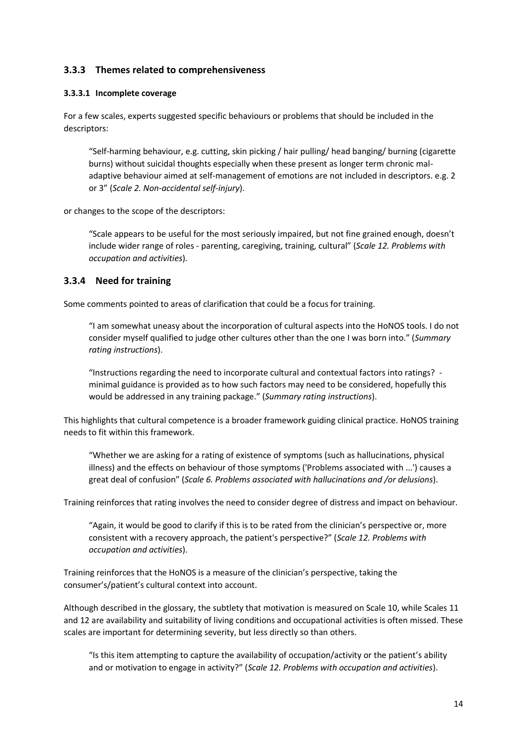#### **3.3.3 Themes related to comprehensiveness**

#### **3.3.3.1 Incomplete coverage**

For a few scales, experts suggested specific behaviours or problems that should be included in the descriptors:

"Self-harming behaviour, e.g. cutting, skin picking / hair pulling/ head banging/ burning (cigarette burns) without suicidal thoughts especially when these present as longer term chronic maladaptive behaviour aimed at self-management of emotions are not included in descriptors. e.g. 2 or 3" (*Scale 2. Non-accidental self-injury*).

or changes to the scope of the descriptors:

"Scale appears to be useful for the most seriously impaired, but not fine grained enough, doesn't include wider range of roles - parenting, caregiving, training, cultural" (*Scale 12. Problems with occupation and activities*)*.*

#### **3.3.4 Need for training**

Some comments pointed to areas of clarification that could be a focus for training.

"I am somewhat uneasy about the incorporation of cultural aspects into the HoNOS tools. I do not consider myself qualified to judge other cultures other than the one I was born into." (*Summary rating instructions*).

"Instructions regarding the need to incorporate cultural and contextual factors into ratings? minimal guidance is provided as to how such factors may need to be considered, hopefully this would be addressed in any training package." (*Summary rating instructions*).

This highlights that cultural competence is a broader framework guiding clinical practice. HoNOS training needs to fit within this framework.

"Whether we are asking for a rating of existence of symptoms (such as hallucinations, physical illness) and the effects on behaviour of those symptoms ('Problems associated with ...') causes a great deal of confusion" (*Scale 6. Problems associated with hallucinations and /or delusions*).

Training reinforces that rating involves the need to consider degree of distress and impact on behaviour.

"Again, it would be good to clarify if this is to be rated from the clinician's perspective or, more consistent with a recovery approach, the patient's perspective?" (*Scale 12. Problems with occupation and activities*).

Training reinforces that the HoNOS is a measure of the clinician's perspective, taking the consumer's/patient's cultural context into account.

Although described in the glossary, the subtlety that motivation is measured on Scale 10, while Scales 11 and 12 are availability and suitability of living conditions and occupational activities is often missed. These scales are important for determining severity, but less directly so than others.

"Is this item attempting to capture the availability of occupation/activity or the patient's ability and or motivation to engage in activity?" (*Scale 12. Problems with occupation and activities*).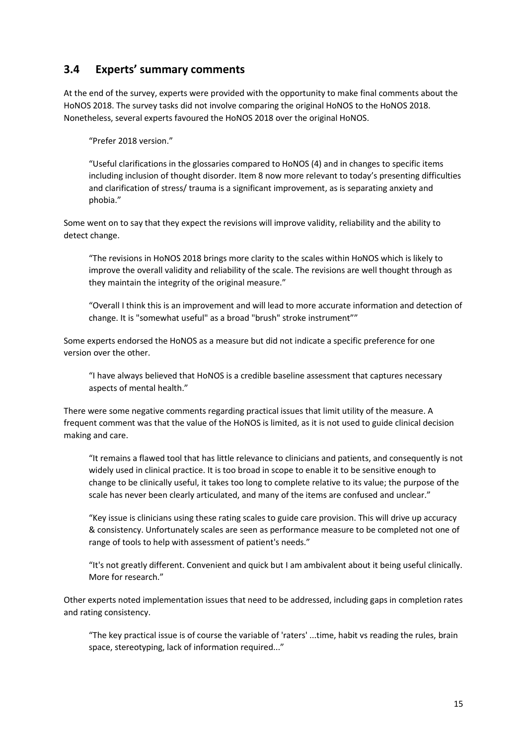### <span id="page-20-0"></span>**3.4 Experts' summary comments**

At the end of the survey, experts were provided with the opportunity to make final comments about the HoNOS 2018. The survey tasks did not involve comparing the original HoNOS to the HoNOS 2018. Nonetheless, several experts favoured the HoNOS 2018 over the original HoNOS.

"Prefer 2018 version."

"Useful clarifications in the glossaries compared to HoNOS (4) and in changes to specific items including inclusion of thought disorder. Item 8 now more relevant to today's presenting difficulties and clarification of stress/ trauma is a significant improvement, as is separating anxiety and phobia."

Some went on to say that they expect the revisions will improve validity, reliability and the ability to detect change.

"The revisions in HoNOS 2018 brings more clarity to the scales within HoNOS which is likely to improve the overall validity and reliability of the scale. The revisions are well thought through as they maintain the integrity of the original measure."

"Overall I think this is an improvement and will lead to more accurate information and detection of change. It is "somewhat useful" as a broad "brush" stroke instrument""

Some experts endorsed the HoNOS as a measure but did not indicate a specific preference for one version over the other.

"I have always believed that HoNOS is a credible baseline assessment that captures necessary aspects of mental health."

There were some negative comments regarding practical issues that limit utility of the measure. A frequent comment was that the value of the HoNOS is limited, as it is not used to guide clinical decision making and care.

"It remains a flawed tool that has little relevance to clinicians and patients, and consequently is not widely used in clinical practice. It is too broad in scope to enable it to be sensitive enough to change to be clinically useful, it takes too long to complete relative to its value; the purpose of the scale has never been clearly articulated, and many of the items are confused and unclear."

"Key issue is clinicians using these rating scales to guide care provision. This will drive up accuracy & consistency. Unfortunately scales are seen as performance measure to be completed not one of range of tools to help with assessment of patient's needs."

"It's not greatly different. Convenient and quick but I am ambivalent about it being useful clinically. More for research."

Other experts noted implementation issues that need to be addressed, including gaps in completion rates and rating consistency.

"The key practical issue is of course the variable of 'raters' ...time, habit vs reading the rules, brain space, stereotyping, lack of information required..."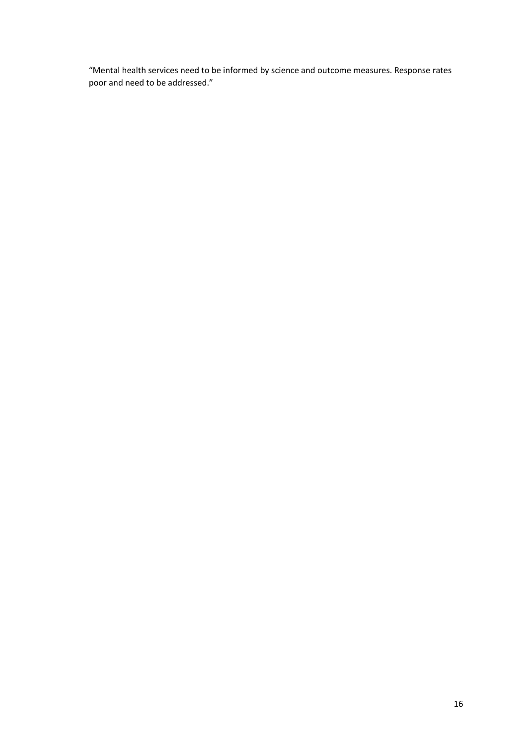"Mental health services need to be informed by science and outcome measures. Response rates poor and need to be addressed."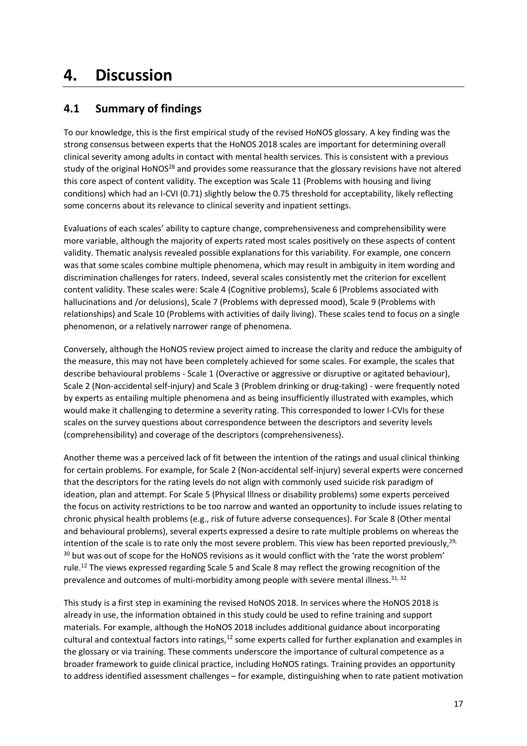# <span id="page-22-0"></span>**4. Discussion**

# <span id="page-22-1"></span>**4.1 Summary of findings**

To our knowledge, this is the first empirical study of the revised HoNOS glossary. A key finding was the strong consensus between experts that the HoNOS 2018 scales are important for determining overall clinical severity among adults in contact with mental health services. This is consistent with a previous study of the original HoNOS<sup>28</sup> and provides some reassurance that the glossary revisions have not altered this core aspect of content validity. The exception was Scale 11 (Problems with housing and living conditions) which had an I-CVI (0.71) slightly below the 0.75 threshold for acceptability, likely reflecting some concerns about its relevance to clinical severity and inpatient settings.

Evaluations of each scales' ability to capture change, comprehensiveness and comprehensibility were more variable, although the majority of experts rated most scales positively on these aspects of content validity. Thematic analysis revealed possible explanations for this variability. For example, one concern was that some scales combine multiple phenomena, which may result in ambiguity in item wording and discrimination challenges for raters. Indeed, several scales consistently met the criterion for excellent content validity. These scales were: Scale 4 (Cognitive problems), Scale 6 (Problems associated with hallucinations and /or delusions), Scale 7 (Problems with depressed mood), Scale 9 (Problems with relationships) and Scale 10 (Problems with activities of daily living). These scales tend to focus on a single phenomenon, or a relatively narrower range of phenomena.

Conversely, although the HoNOS review project aimed to increase the clarity and reduce the ambiguity of the measure, this may not have been completely achieved for some scales. For example, the scales that describe behavioural problems - Scale 1 (Overactive or aggressive or disruptive or agitated behaviour), Scale 2 (Non-accidental self-injury) and Scale 3 (Problem drinking or drug-taking) - were frequently noted by experts as entailing multiple phenomena and as being insufficiently illustrated with examples, which would make it challenging to determine a severity rating. This corresponded to lower I-CVIs for these scales on the survey questions about correspondence between the descriptors and severity levels (comprehensibility) and coverage of the descriptors (comprehensiveness).

Another theme was a perceived lack of fit between the intention of the ratings and usual clinical thinking for certain problems. For example, for Scale 2 (Non-accidental self-injury) several experts were concerned that the descriptors for the rating levels do not align with commonly used suicide risk paradigm of ideation, plan and attempt. For Scale 5 (Physical Illness or disability problems) some experts perceived the focus on activity restrictions to be too narrow and wanted an opportunity to include issues relating to chronic physical health problems (e.g., risk of future adverse consequences). For Scale 8 (Other mental and behavioural problems), several experts expressed a desire to rate multiple problems on whereas the intention of the scale is to rate only the most severe problem. This view has been reported previously,<sup>29,</sup> <sup>30</sup> but was out of scope for the HoNOS revisions as it would conflict with the 'rate the worst problem' rule.<sup>12</sup> The views expressed regarding Scale 5 and Scale 8 may reflect the growing recognition of the prevalence and outcomes of multi-morbidity among people with severe mental illness.<sup>31, 32</sup>

This study is a first step in examining the revised HoNOS 2018. In services where the HoNOS 2018 is already in use, the information obtained in this study could be used to refine training and support materials. For example, although the HoNOS 2018 includes additional guidance about incorporating cultural and contextual factors into ratings, $12$  some experts called for further explanation and examples in the glossary or via training. These comments underscore the importance of cultural competence as a broader framework to guide clinical practice, including HoNOS ratings. Training provides an opportunity to address identified assessment challenges – for example, distinguishing when to rate patient motivation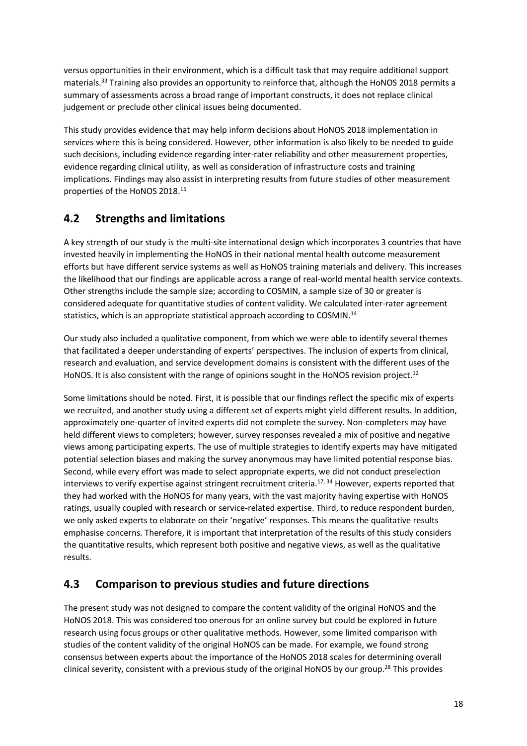versus opportunities in their environment, which is a difficult task that may require additional support materials.<sup>33</sup> Training also provides an opportunity to reinforce that, although the HoNOS 2018 permits a summary of assessments across a broad range of important constructs, it does not replace clinical judgement or preclude other clinical issues being documented.

This study provides evidence that may help inform decisions about HoNOS 2018 implementation in services where this is being considered. However, other information is also likely to be needed to guide such decisions, including evidence regarding inter-rater reliability and other measurement properties, evidence regarding clinical utility, as well as consideration of infrastructure costs and training implications. Findings may also assist in interpreting results from future studies of other measurement properties of the HoNOS 2018. 15

### <span id="page-23-0"></span>**4.2 Strengths and limitations**

A key strength of our study is the multi-site international design which incorporates 3 countries that have invested heavily in implementing the HoNOS in their national mental health outcome measurement efforts but have different service systems as well as HoNOS training materials and delivery. This increases the likelihood that our findings are applicable across a range of real-world mental health service contexts. Other strengths include the sample size; according to COSMIN, a sample size of 30 or greater is considered adequate for quantitative studies of content validity. We calculated inter-rater agreement statistics, which is an appropriate statistical approach according to COSMIN.<sup>14</sup>

Our study also included a qualitative component, from which we were able to identify several themes that facilitated a deeper understanding of experts' perspectives. The inclusion of experts from clinical, research and evaluation, and service development domains is consistent with the different uses of the HoNOS. It is also consistent with the range of opinions sought in the HoNOS revision project.<sup>12</sup>

Some limitations should be noted. First, it is possible that our findings reflect the specific mix of experts we recruited, and another study using a different set of experts might yield different results. In addition, approximately one-quarter of invited experts did not complete the survey. Non-completers may have held different views to completers; however, survey responses revealed a mix of positive and negative views among participating experts. The use of multiple strategies to identify experts may have mitigated potential selection biases and making the survey anonymous may have limited potential response bias. Second, while every effort was made to select appropriate experts, we did not conduct preselection interviews to verify expertise against stringent recruitment criteria. 17, 34 However, experts reported that they had worked with the HoNOS for many years, with the vast majority having expertise with HoNOS ratings, usually coupled with research or service-related expertise. Third, to reduce respondent burden, we only asked experts to elaborate on their 'negative' responses. This means the qualitative results emphasise concerns. Therefore, it is important that interpretation of the results of this study considers the quantitative results, which represent both positive and negative views, as well as the qualitative results.

### <span id="page-23-1"></span>**4.3 Comparison to previous studies and future directions**

The present study was not designed to compare the content validity of the original HoNOS and the HoNOS 2018. This was considered too onerous for an online survey but could be explored in future research using focus groups or other qualitative methods. However, some limited comparison with studies of the content validity of the original HoNOS can be made. For example, we found strong consensus between experts about the importance of the HoNOS 2018 scales for determining overall clinical severity, consistent with a previous study of the original HoNOS by our group.<sup>28</sup> This provides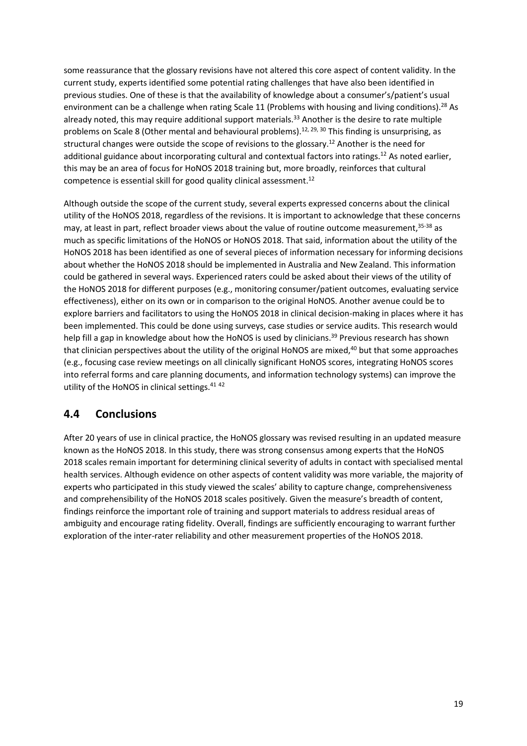some reassurance that the glossary revisions have not altered this core aspect of content validity. In the current study, experts identified some potential rating challenges that have also been identified in previous studies. One of these is that the availability of knowledge about a consumer's/patient's usual environment can be a challenge when rating Scale 11 (Problems with housing and living conditions).<sup>28</sup> As already noted, this may require additional support materials. <sup>33</sup> Another is the desire to rate multiple problems on Scale 8 (Other mental and behavioural problems).<sup>12, 29, 30</sup> This finding is unsurprising, as structural changes were outside the scope of revisions to the glossary. <sup>12</sup> Another is the need for additional guidance about incorporating cultural and contextual factors into ratings.<sup>12</sup> As noted earlier, this may be an area of focus for HoNOS 2018 training but, more broadly, reinforces that cultural competence is essential skill for good quality clinical assessment. 12

Although outside the scope of the current study, several experts expressed concerns about the clinical utility of the HoNOS 2018, regardless of the revisions. It is important to acknowledge that these concerns may, at least in part, reflect broader views about the value of routine outcome measurement, <sup>35-38</sup> as much as specific limitations of the HoNOS or HoNOS 2018. That said, information about the utility of the HoNOS 2018 has been identified as one of several pieces of information necessary for informing decisions about whether the HoNOS 2018 should be implemented in Australia and New Zealand. This information could be gathered in several ways. Experienced raters could be asked about their views of the utility of the HoNOS 2018 for different purposes (e.g., monitoring consumer/patient outcomes, evaluating service effectiveness), either on its own or in comparison to the original HoNOS. Another avenue could be to explore barriers and facilitators to using the HoNOS 2018 in clinical decision-making in places where it has been implemented. This could be done using surveys, case studies or service audits. This research would help fill a gap in knowledge about how the HoNOS is used by clinicians.<sup>39</sup> Previous research has shown that clinician perspectives about the utility of the original HoNOS are mixed,<sup>40</sup> but that some approaches (e.g., focusing case review meetings on all clinically significant HoNOS scores, integrating HoNOS scores into referral forms and care planning documents, and information technology systems) can improve the utility of the HoNOS in clinical settings.<sup>41 42</sup>

### <span id="page-24-0"></span>**4.4 Conclusions**

After 20 years of use in clinical practice, the HoNOS glossary was revised resulting in an updated measure known as the HoNOS 2018. In this study, there was strong consensus among experts that the HoNOS 2018 scales remain important for determining clinical severity of adults in contact with specialised mental health services. Although evidence on other aspects of content validity was more variable, the majority of experts who participated in this study viewed the scales' ability to capture change, comprehensiveness and comprehensibility of the HoNOS 2018 scales positively. Given the measure's breadth of content, findings reinforce the important role of training and support materials to address residual areas of ambiguity and encourage rating fidelity. Overall, findings are sufficiently encouraging to warrant further exploration of the inter-rater reliability and other measurement properties of the HoNOS 2018.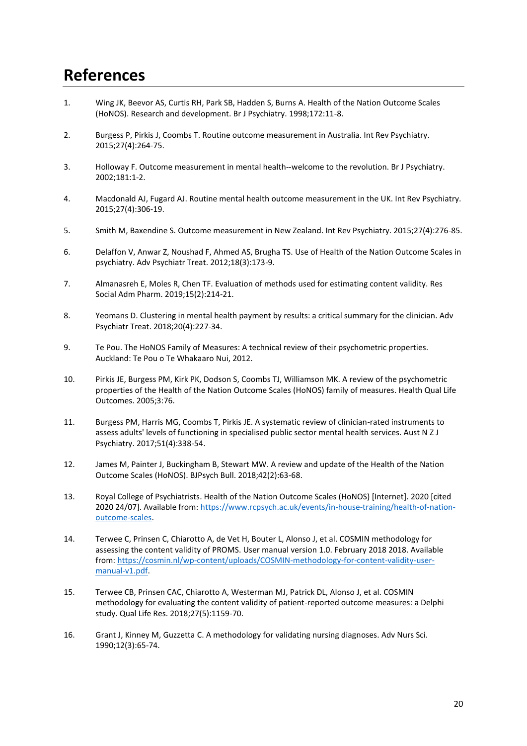# <span id="page-25-0"></span>**References**

- 1. Wing JK, Beevor AS, Curtis RH, Park SB, Hadden S, Burns A. Health of the Nation Outcome Scales (HoNOS). Research and development. Br J Psychiatry. 1998;172:11-8.
- 2. Burgess P, Pirkis J, Coombs T. Routine outcome measurement in Australia. Int Rev Psychiatry. 2015;27(4):264-75.
- 3. Holloway F. Outcome measurement in mental health--welcome to the revolution. Br J Psychiatry. 2002;181:1-2.
- 4. Macdonald AJ, Fugard AJ. Routine mental health outcome measurement in the UK. Int Rev Psychiatry. 2015;27(4):306-19.
- 5. Smith M, Baxendine S. Outcome measurement in New Zealand. Int Rev Psychiatry. 2015;27(4):276-85.
- 6. Delaffon V, Anwar Z, Noushad F, Ahmed AS, Brugha TS. Use of Health of the Nation Outcome Scales in psychiatry. Adv Psychiatr Treat. 2012;18(3):173-9.
- 7. Almanasreh E, Moles R, Chen TF. Evaluation of methods used for estimating content validity. Res Social Adm Pharm. 2019;15(2):214-21.
- 8. Yeomans D. Clustering in mental health payment by results: a critical summary for the clinician. Adv Psychiatr Treat. 2018;20(4):227-34.
- 9. Te Pou. The HoNOS Family of Measures: A technical review of their psychometric properties. Auckland: Te Pou o Te Whakaaro Nui, 2012.
- 10. Pirkis JE, Burgess PM, Kirk PK, Dodson S, Coombs TJ, Williamson MK. A review of the psychometric properties of the Health of the Nation Outcome Scales (HoNOS) family of measures. Health Qual Life Outcomes. 2005;3:76.
- 11. Burgess PM, Harris MG, Coombs T, Pirkis JE. A systematic review of clinician-rated instruments to assess adults' levels of functioning in specialised public sector mental health services. Aust N Z J Psychiatry. 2017;51(4):338-54.
- 12. James M, Painter J, Buckingham B, Stewart MW. A review and update of the Health of the Nation Outcome Scales (HoNOS). BJPsych Bull. 2018;42(2):63-68.
- 13. Royal College of Psychiatrists. Health of the Nation Outcome Scales (HoNOS) [Internet]. 2020 [cited 2020 24/07]. Available from[: https://www.rcpsych.ac.uk/events/in-house-training/health-of-nation](https://www.rcpsych.ac.uk/events/in-house-training/health-of-nation-outcome-scales)[outcome-scales.](https://www.rcpsych.ac.uk/events/in-house-training/health-of-nation-outcome-scales)
- 14. Terwee C, Prinsen C, Chiarotto A, de Vet H, Bouter L, Alonso J, et al. COSMIN methodology for assessing the content validity of PROMS. User manual version 1.0. February 2018 2018. Available from[: https://cosmin.nl/wp-content/uploads/COSMIN-methodology-for-content-validity-user](https://cosmin.nl/wp-content/uploads/COSMIN-methodology-for-content-validity-user-manual-v1.pdf)[manual-v1.pdf.](https://cosmin.nl/wp-content/uploads/COSMIN-methodology-for-content-validity-user-manual-v1.pdf)
- 15. Terwee CB, Prinsen CAC, Chiarotto A, Westerman MJ, Patrick DL, Alonso J, et al. COSMIN methodology for evaluating the content validity of patient-reported outcome measures: a Delphi study. Qual Life Res. 2018;27(5):1159-70.
- 16. Grant J, Kinney M, Guzzetta C. A methodology for validating nursing diagnoses. Adv Nurs Sci. 1990;12(3):65-74.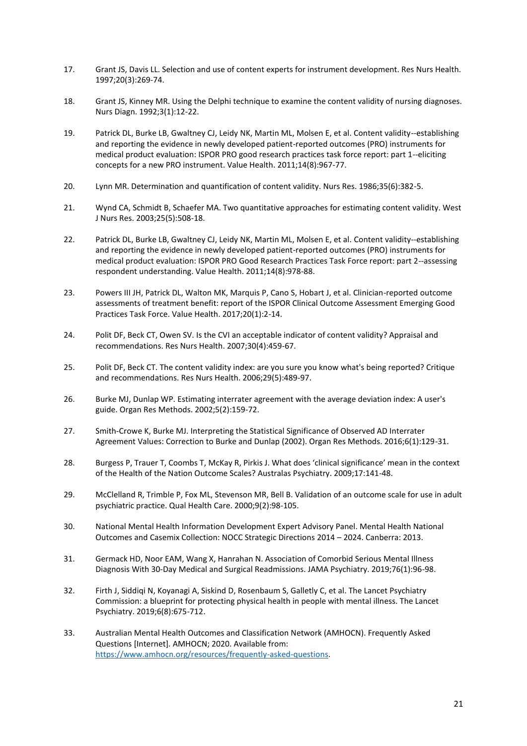- 17. Grant JS, Davis LL. Selection and use of content experts for instrument development. Res Nurs Health. 1997;20(3):269-74.
- 18. Grant JS, Kinney MR. Using the Delphi technique to examine the content validity of nursing diagnoses. Nurs Diagn. 1992;3(1):12-22.
- 19. Patrick DL, Burke LB, Gwaltney CJ, Leidy NK, Martin ML, Molsen E, et al. Content validity--establishing and reporting the evidence in newly developed patient-reported outcomes (PRO) instruments for medical product evaluation: ISPOR PRO good research practices task force report: part 1--eliciting concepts for a new PRO instrument. Value Health. 2011;14(8):967-77.
- 20. Lynn MR. Determination and quantification of content validity. Nurs Res. 1986;35(6):382-5.
- 21. Wynd CA, Schmidt B, Schaefer MA. Two quantitative approaches for estimating content validity. West J Nurs Res. 2003;25(5):508-18.
- 22. Patrick DL, Burke LB, Gwaltney CJ, Leidy NK, Martin ML, Molsen E, et al. Content validity--establishing and reporting the evidence in newly developed patient-reported outcomes (PRO) instruments for medical product evaluation: ISPOR PRO Good Research Practices Task Force report: part 2--assessing respondent understanding. Value Health. 2011;14(8):978-88.
- 23. Powers III JH, Patrick DL, Walton MK, Marquis P, Cano S, Hobart J, et al. Clinician-reported outcome assessments of treatment benefit: report of the ISPOR Clinical Outcome Assessment Emerging Good Practices Task Force. Value Health. 2017;20(1):2-14.
- 24. Polit DF, Beck CT, Owen SV. Is the CVI an acceptable indicator of content validity? Appraisal and recommendations. Res Nurs Health. 2007;30(4):459-67.
- 25. Polit DF, Beck CT. The content validity index: are you sure you know what's being reported? Critique and recommendations. Res Nurs Health. 2006;29(5):489-97.
- 26. Burke MJ, Dunlap WP. Estimating interrater agreement with the average deviation index: A user's guide. Organ Res Methods. 2002;5(2):159-72.
- 27. Smith-Crowe K, Burke MJ. Interpreting the Statistical Significance of Observed AD Interrater Agreement Values: Correction to Burke and Dunlap (2002). Organ Res Methods. 2016;6(1):129-31.
- 28. Burgess P, Trauer T, Coombs T, McKay R, Pirkis J. What does 'clinical significance' mean in the context of the Health of the Nation Outcome Scales? Australas Psychiatry. 2009;17:141-48.
- 29. McClelland R, Trimble P, Fox ML, Stevenson MR, Bell B. Validation of an outcome scale for use in adult psychiatric practice. Qual Health Care. 2000;9(2):98-105.
- 30. National Mental Health Information Development Expert Advisory Panel. Mental Health National Outcomes and Casemix Collection: NOCC Strategic Directions 2014 – 2024. Canberra: 2013.
- 31. Germack HD, Noor EAM, Wang X, Hanrahan N. Association of Comorbid Serious Mental Illness Diagnosis With 30-Day Medical and Surgical Readmissions. JAMA Psychiatry. 2019;76(1):96-98.
- 32. Firth J, Siddiqi N, Koyanagi A, Siskind D, Rosenbaum S, Galletly C, et al. The Lancet Psychiatry Commission: a blueprint for protecting physical health in people with mental illness. The Lancet Psychiatry. 2019;6(8):675-712.
- 33. Australian Mental Health Outcomes and Classification Network (AMHOCN). Frequently Asked Questions [Internet]. AMHOCN; 2020. Available from: [https://www.amhocn.org/resources/frequently-asked-questions.](https://www.amhocn.org/resources/frequently-asked-questions)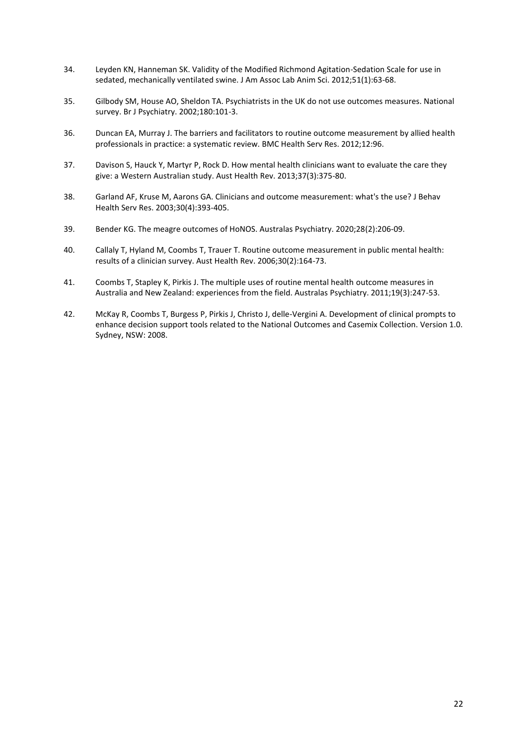- 34. Leyden KN, Hanneman SK. Validity of the Modified Richmond Agitation-Sedation Scale for use in sedated, mechanically ventilated swine. J Am Assoc Lab Anim Sci. 2012;51(1):63-68.
- 35. Gilbody SM, House AO, Sheldon TA. Psychiatrists in the UK do not use outcomes measures. National survey. Br J Psychiatry. 2002;180:101-3.
- 36. Duncan EA, Murray J. The barriers and facilitators to routine outcome measurement by allied health professionals in practice: a systematic review. BMC Health Serv Res. 2012;12:96.
- 37. Davison S, Hauck Y, Martyr P, Rock D. How mental health clinicians want to evaluate the care they give: a Western Australian study. Aust Health Rev. 2013;37(3):375-80.
- 38. Garland AF, Kruse M, Aarons GA. Clinicians and outcome measurement: what's the use? J Behav Health Serv Res. 2003;30(4):393-405.
- 39. Bender KG. The meagre outcomes of HoNOS. Australas Psychiatry. 2020;28(2):206-09.
- 40. Callaly T, Hyland M, Coombs T, Trauer T. Routine outcome measurement in public mental health: results of a clinician survey. Aust Health Rev. 2006;30(2):164-73.
- 41. Coombs T, Stapley K, Pirkis J. The multiple uses of routine mental health outcome measures in Australia and New Zealand: experiences from the field. Australas Psychiatry. 2011;19(3):247-53.
- 42. McKay R, Coombs T, Burgess P, Pirkis J, Christo J, delle-Vergini A. Development of clinical prompts to enhance decision support tools related to the National Outcomes and Casemix Collection. Version 1.0. Sydney, NSW: 2008.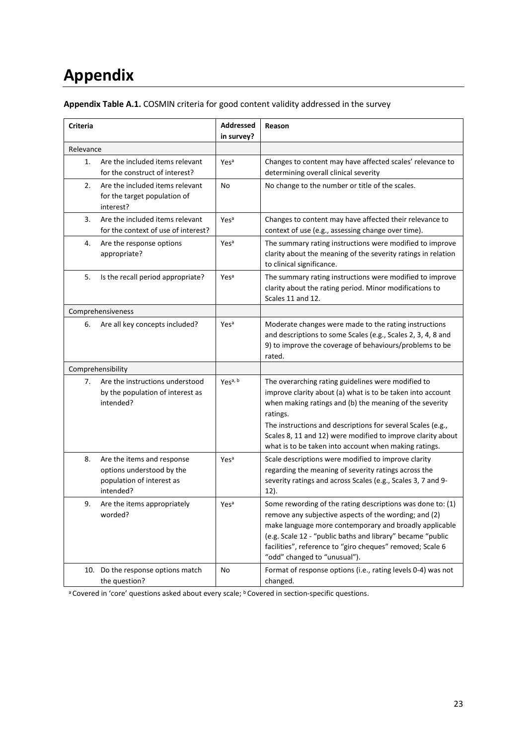# <span id="page-28-0"></span>**Appendix**

| Criteria  |                                                                                                   | <b>Addressed</b><br>in survey? | Reason                                                                                                                                                                                                                                                                                                                                                                         |
|-----------|---------------------------------------------------------------------------------------------------|--------------------------------|--------------------------------------------------------------------------------------------------------------------------------------------------------------------------------------------------------------------------------------------------------------------------------------------------------------------------------------------------------------------------------|
| Relevance |                                                                                                   |                                |                                                                                                                                                                                                                                                                                                                                                                                |
| 1.        | Are the included items relevant<br>for the construct of interest?                                 | Yes <sup>a</sup>               | Changes to content may have affected scales' relevance to<br>determining overall clinical severity                                                                                                                                                                                                                                                                             |
| 2.        | Are the included items relevant<br>for the target population of<br>interest?                      | No                             | No change to the number or title of the scales.                                                                                                                                                                                                                                                                                                                                |
| 3.        | Are the included items relevant<br>for the context of use of interest?                            | Yesa                           | Changes to content may have affected their relevance to<br>context of use (e.g., assessing change over time).                                                                                                                                                                                                                                                                  |
| 4.        | Are the response options<br>appropriate?                                                          | Yesa                           | The summary rating instructions were modified to improve<br>clarity about the meaning of the severity ratings in relation<br>to clinical significance.                                                                                                                                                                                                                         |
| 5.        | Is the recall period appropriate?                                                                 | Yes <sup>a</sup>               | The summary rating instructions were modified to improve<br>clarity about the rating period. Minor modifications to<br>Scales 11 and 12.                                                                                                                                                                                                                                       |
|           | Comprehensiveness                                                                                 |                                |                                                                                                                                                                                                                                                                                                                                                                                |
| 6.        | Are all key concepts included?                                                                    | Yes <sup>a</sup>               | Moderate changes were made to the rating instructions<br>and descriptions to some Scales (e.g., Scales 2, 3, 4, 8 and<br>9) to improve the coverage of behaviours/problems to be<br>rated.                                                                                                                                                                                     |
|           | Comprehensibility                                                                                 |                                |                                                                                                                                                                                                                                                                                                                                                                                |
| 7.        | Are the instructions understood<br>by the population of interest as<br>intended?                  | Yesa, b                        | The overarching rating guidelines were modified to<br>improve clarity about (a) what is to be taken into account<br>when making ratings and (b) the meaning of the severity<br>ratings.<br>The instructions and descriptions for several Scales (e.g.,<br>Scales 8, 11 and 12) were modified to improve clarity about<br>what is to be taken into account when making ratings. |
| 8.        | Are the items and response<br>options understood by the<br>population of interest as<br>intended? | Yes <sup>a</sup>               | Scale descriptions were modified to improve clarity<br>regarding the meaning of severity ratings across the<br>severity ratings and across Scales (e.g., Scales 3, 7 and 9-<br>$12$ ).                                                                                                                                                                                         |
| 9.        | Are the items appropriately<br>worded?                                                            | Yes <sup>a</sup>               | Some rewording of the rating descriptions was done to: (1)<br>remove any subjective aspects of the wording; and (2)<br>make language more contemporary and broadly applicable<br>(e.g. Scale 12 - "public baths and library" became "public<br>facilities", reference to "giro cheques" removed; Scale 6<br>"odd" changed to "unusual").                                       |
|           | 10. Do the response options match<br>the question?                                                | No                             | Format of response options (i.e., rating levels 0-4) was not<br>changed.                                                                                                                                                                                                                                                                                                       |

### **Appendix Table A.1.** COSMIN criteria for good content validity addressed in the survey

a Covered in 'core' questions asked about every scale; **b** Covered in section-specific questions.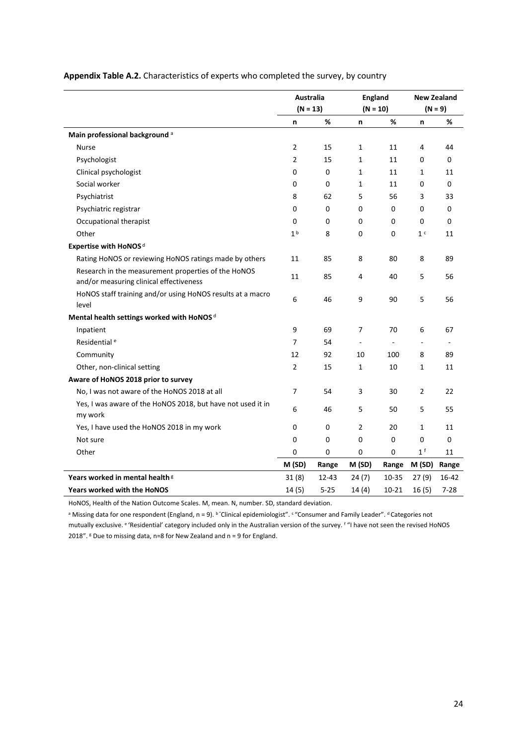|                                                                                                | Australia      |          | <b>England</b> |           |                | <b>New Zealand</b> |
|------------------------------------------------------------------------------------------------|----------------|----------|----------------|-----------|----------------|--------------------|
|                                                                                                | $(N = 13)$     |          | $(N = 10)$     |           | $(N = 9)$      |                    |
|                                                                                                | n              | %        | n              | %         | n              | %                  |
| Main professional background a                                                                 |                |          |                |           |                |                    |
| <b>Nurse</b>                                                                                   | $\overline{2}$ | 15       | $\mathbf{1}$   | 11        | 4              | 44                 |
| Psychologist                                                                                   | 2              | 15       | $\mathbf{1}$   | 11        | 0              | 0                  |
| Clinical psychologist                                                                          | 0              | 0        | 1              | 11        | $\mathbf{1}$   | 11                 |
| Social worker                                                                                  | 0              | 0        | 1              | 11        | 0              | 0                  |
| Psychiatrist                                                                                   | 8              | 62       | 5              | 56        | 3              | 33                 |
| Psychiatric registrar                                                                          | 0              | 0        | 0              | 0         | 0              | 0                  |
| Occupational therapist                                                                         | 0              | 0        | 0              | 0         | 0              | 0                  |
| Other                                                                                          | 1 <sup>b</sup> | 8        | 0              | 0         | 1 <sup>c</sup> | 11                 |
| Expertise with HoNOS <sup>d</sup>                                                              |                |          |                |           |                |                    |
| Rating HoNOS or reviewing HoNOS ratings made by others                                         | 11             | 85       | 8              | 80        | 8              | 89                 |
| Research in the measurement properties of the HoNOS<br>and/or measuring clinical effectiveness | 11             | 85       | 4              | 40        | 5              | 56                 |
| HoNOS staff training and/or using HoNOS results at a macro<br>level                            | 6              | 46       | 9              | 90        | 5              | 56                 |
| Mental health settings worked with HoNOS <sup>d</sup>                                          |                |          |                |           |                |                    |
| Inpatient                                                                                      | 9              | 69       | 7              | 70        | 6              | 67                 |
| Residential <sup>e</sup>                                                                       | $\overline{7}$ | 54       | $\bar{a}$      | ä,        | $\overline{a}$ |                    |
| Community                                                                                      | 12             | 92       | 10             | 100       | 8              | 89                 |
| Other, non-clinical setting                                                                    | $\overline{2}$ | 15       | $\mathbf{1}$   | 10        | $\mathbf{1}$   | 11                 |
| Aware of HoNOS 2018 prior to survey                                                            |                |          |                |           |                |                    |
| No, I was not aware of the HoNOS 2018 at all                                                   | $\overline{7}$ | 54       | 3              | 30        | $\overline{2}$ | 22                 |
| Yes, I was aware of the HoNOS 2018, but have not used it in<br>my work                         | 6              | 46       | 5              | 50        | 5              | 55                 |
| Yes, I have used the HoNOS 2018 in my work                                                     | 0              | 0        | 2              | 20        | $\mathbf{1}$   | 11                 |
| Not sure                                                                                       | 0              | 0        | 0              | 0         | 0              | 0                  |
| Other                                                                                          | 0              | 0        | 0              | 0         | 1 <sup>f</sup> | 11                 |
|                                                                                                | M (SD)         | Range    | M (SD)         | Range     | M (SD)         | Range              |
| Years worked in mental health <sup>g</sup>                                                     | 31(8)          | 12-43    | 24(7)          | 10-35     | 27(9)          | 16-42              |
| <b>Years worked with the HoNOS</b>                                                             | 14(5)          | $5 - 25$ | 14(4)          | $10 - 21$ | 16(5)          | $7 - 28$           |

#### **Appendix Table A.2.** Characteristics of experts who completed the survey, by country

HoNOS, Health of the Nation Outcome Scales. M, mean. N, number. SD, standard deviation.

<sup>a</sup> Missing data for one respondent (England, n = 9). <sup>b</sup>"Clinical epidemiologist". <sup>c</sup> "Consumer and Family Leader". <sup>d</sup> Categories not mutually exclusive. <sup>e</sup> 'Residential' category included only in the Australian version of the survey. <sup>f</sup> "I have not seen the revised HoNOS 2018".  $8$  Due to missing data, n=8 for New Zealand and n = 9 for England.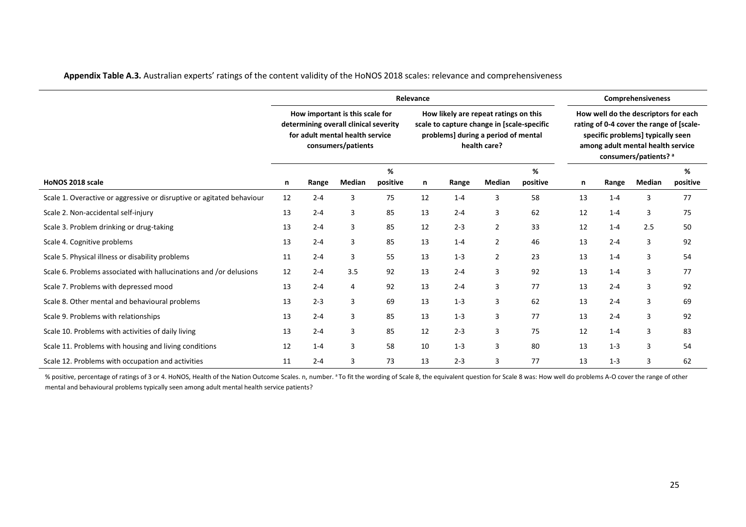|                                                                       |                                                                                                                                   |         |        | Relevance                                                                                                                                  | <b>Comprehensiveness</b> |         |                |                                                                                                                                                                                     |    |         |        |               |
|-----------------------------------------------------------------------|-----------------------------------------------------------------------------------------------------------------------------------|---------|--------|--------------------------------------------------------------------------------------------------------------------------------------------|--------------------------|---------|----------------|-------------------------------------------------------------------------------------------------------------------------------------------------------------------------------------|----|---------|--------|---------------|
|                                                                       | How important is this scale for<br>determining overall clinical severity<br>for adult mental health service<br>consumers/patients |         |        | How likely are repeat ratings on this<br>scale to capture change in [scale-specific<br>problems] during a period of mental<br>health care? |                          |         |                | How well do the descriptors for each<br>rating of 0-4 cover the range of [scale-<br>specific problems] typically seen<br>among adult mental health service<br>consumers/patients? a |    |         |        |               |
| HoNOS 2018 scale                                                      | n                                                                                                                                 | Range   | Median | %<br>positive                                                                                                                              | n                        | Range   | Median         | %<br>positive                                                                                                                                                                       | n  | Range   | Median | %<br>positive |
|                                                                       |                                                                                                                                   | $2 - 4$ | 3      | 75                                                                                                                                         | 12                       | $1 - 4$ | 3              | 58                                                                                                                                                                                  | 13 | $1 - 4$ | 3      | 77            |
| Scale 1. Overactive or aggressive or disruptive or agitated behaviour | 12                                                                                                                                |         |        |                                                                                                                                            |                          |         |                |                                                                                                                                                                                     |    |         |        |               |
| Scale 2. Non-accidental self-injury                                   | 13                                                                                                                                | $2 - 4$ | 3      | 85                                                                                                                                         | 13                       | $2 - 4$ | 3              | 62                                                                                                                                                                                  | 12 | $1 - 4$ | 3      | 75            |
| Scale 3. Problem drinking or drug-taking                              | 13                                                                                                                                | $2 - 4$ | 3      | 85                                                                                                                                         | 12                       | $2 - 3$ | $\overline{2}$ | 33                                                                                                                                                                                  | 12 | $1 - 4$ | 2.5    | 50            |
| Scale 4. Cognitive problems                                           | 13                                                                                                                                | $2 - 4$ | 3      | 85                                                                                                                                         | 13                       | $1 - 4$ | $\overline{2}$ | 46                                                                                                                                                                                  | 13 | $2 - 4$ | 3      | 92            |
| Scale 5. Physical illness or disability problems                      | 11                                                                                                                                | $2 - 4$ | 3      | 55                                                                                                                                         | 13                       | $1 - 3$ | $\overline{2}$ | 23                                                                                                                                                                                  | 13 | $1 - 4$ | 3      | 54            |
| Scale 6. Problems associated with hallucinations and /or delusions    | 12                                                                                                                                | $2 - 4$ | 3.5    | 92                                                                                                                                         | 13                       | $2 - 4$ | 3              | 92                                                                                                                                                                                  | 13 | $1 - 4$ | 3      | 77            |
| Scale 7. Problems with depressed mood                                 | 13                                                                                                                                | $2 - 4$ | 4      | 92                                                                                                                                         | 13                       | $2 - 4$ | 3              | 77                                                                                                                                                                                  | 13 | $2 - 4$ | 3      | 92            |
| Scale 8. Other mental and behavioural problems                        | 13                                                                                                                                | $2 - 3$ | 3      | 69                                                                                                                                         | 13                       | $1 - 3$ | 3              | 62                                                                                                                                                                                  | 13 | $2 - 4$ | 3      | 69            |
| Scale 9. Problems with relationships                                  | 13                                                                                                                                | $2 - 4$ | 3      | 85                                                                                                                                         | 13                       | $1 - 3$ | 3              | 77                                                                                                                                                                                  | 13 | $2 - 4$ | 3      | 92            |
| Scale 10. Problems with activities of daily living                    | 13                                                                                                                                | $2 - 4$ | 3      | 85                                                                                                                                         | 12                       | $2 - 3$ | 3              | 75                                                                                                                                                                                  | 12 | $1 - 4$ | 3      | 83            |
| Scale 11. Problems with housing and living conditions                 | 12                                                                                                                                | $1 - 4$ | 3      | 58                                                                                                                                         | 10                       | $1 - 3$ | 3              | 80                                                                                                                                                                                  | 13 | $1 - 3$ | 3      | 54            |
| Scale 12. Problems with occupation and activities                     | 11                                                                                                                                | $2 - 4$ | 3      | 73                                                                                                                                         | 13                       | $2 - 3$ | 3              | 77                                                                                                                                                                                  | 13 | $1 - 3$ | 3      | 62            |

**Appendix Table A.3.** Australian experts' ratings of the content validity of the HoNOS 2018 scales: relevance and comprehensiveness

% positive, percentage of ratings of 3 or 4. HoNOS, Health of the Nation Outcome Scales. n, number. <sup>a</sup> To fit the wording of Scale 8, the equivalent question for Scale 8 was: How well do problems A-O cover the range of ot mental and behavioural problems typically seen among adult mental health service patients?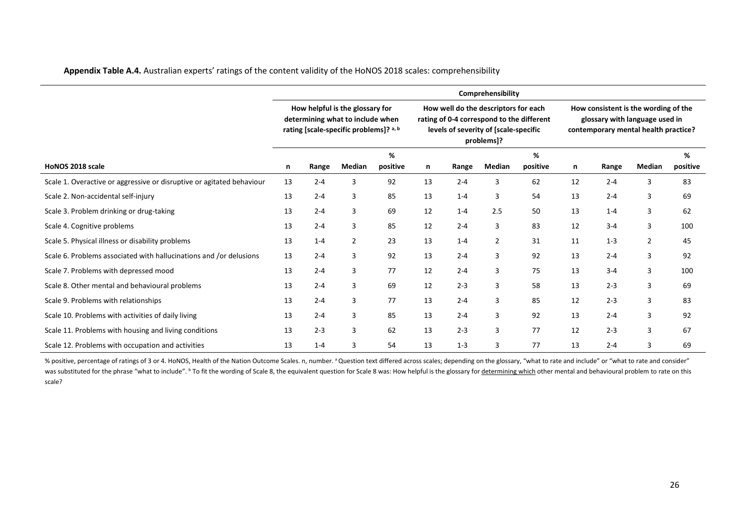|  |  | Appendix Table A.4. Australian experts' ratings of the content validity of the HoNOS 2018 scales: comprehensibility |
|--|--|---------------------------------------------------------------------------------------------------------------------|
|--|--|---------------------------------------------------------------------------------------------------------------------|

|                                                                       |                                                                                                               |         |                |               |    |                                                                                                                                          | Comprehensibility |               |    |                                                                                                                |                |               |  |
|-----------------------------------------------------------------------|---------------------------------------------------------------------------------------------------------------|---------|----------------|---------------|----|------------------------------------------------------------------------------------------------------------------------------------------|-------------------|---------------|----|----------------------------------------------------------------------------------------------------------------|----------------|---------------|--|
|                                                                       | How helpful is the glossary for<br>determining what to include when<br>rating [scale-specific problems]? a, b |         |                |               |    | How well do the descriptors for each<br>rating of 0-4 correspond to the different<br>levels of severity of [scale-specific<br>problems]? |                   |               |    | How consistent is the wording of the<br>glossary with language used in<br>contemporary mental health practice? |                |               |  |
| HoNOS 2018 scale                                                      | n                                                                                                             | Range   | Median         | %<br>positive | n  | Range                                                                                                                                    | Median            | %<br>positive | n  | Range                                                                                                          | Median         | %<br>positive |  |
| Scale 1. Overactive or aggressive or disruptive or agitated behaviour | 13                                                                                                            | $2 - 4$ | 3              | 92            | 13 | $2 - 4$                                                                                                                                  | 3                 | 62            | 12 | $2 - 4$                                                                                                        | 3              | 83            |  |
| Scale 2. Non-accidental self-injury                                   | 13                                                                                                            | $2 - 4$ | 3              | 85            | 13 | $1 - 4$                                                                                                                                  | 3                 | 54            | 13 | $2 - 4$                                                                                                        | 3              | 69            |  |
| Scale 3. Problem drinking or drug-taking                              | 13                                                                                                            | $2 - 4$ | 3              | 69            | 12 | $1 - 4$                                                                                                                                  | 2.5               | 50            | 13 | $1 - 4$                                                                                                        | 3              | 62            |  |
| Scale 4. Cognitive problems                                           | 13                                                                                                            | $2 - 4$ | 3              | 85            | 12 | $2 - 4$                                                                                                                                  | 3                 | 83            | 12 | $3 - 4$                                                                                                        | 3              | 100           |  |
| Scale 5. Physical illness or disability problems                      | 13                                                                                                            | $1 - 4$ | $\overline{2}$ | 23            | 13 | $1 - 4$                                                                                                                                  | $\overline{2}$    | 31            | 11 | $1 - 3$                                                                                                        | $\overline{2}$ | 45            |  |
| Scale 6. Problems associated with hallucinations and /or delusions    | 13                                                                                                            | $2 - 4$ | 3              | 92            | 13 | $2 - 4$                                                                                                                                  | 3                 | 92            | 13 | $2 - 4$                                                                                                        | 3              | 92            |  |
| Scale 7. Problems with depressed mood                                 | 13                                                                                                            | $2 - 4$ | 3              | 77            | 12 | $2 - 4$                                                                                                                                  | 3                 | 75            | 13 | $3 - 4$                                                                                                        | 3              | 100           |  |
| Scale 8. Other mental and behavioural problems                        | 13                                                                                                            | $2 - 4$ | 3              | 69            | 12 | $2 - 3$                                                                                                                                  | 3                 | 58            | 13 | $2 - 3$                                                                                                        | 3              | 69            |  |
| Scale 9. Problems with relationships                                  | 13                                                                                                            | $2 - 4$ | $\overline{3}$ | 77            | 13 | $2 - 4$                                                                                                                                  | 3                 | 85            | 12 | $2 - 3$                                                                                                        | 3              | 83            |  |
| Scale 10. Problems with activities of daily living                    | 13                                                                                                            | $2 - 4$ | 3              | 85            | 13 | $2 - 4$                                                                                                                                  | 3                 | 92            | 13 | $2 - 4$                                                                                                        | 3              | 92            |  |
| Scale 11. Problems with housing and living conditions                 | 13                                                                                                            | $2 - 3$ | 3              | 62            | 13 | $2 - 3$                                                                                                                                  | 3                 | 77            | 12 | $2 - 3$                                                                                                        | 3              | 67            |  |
| Scale 12. Problems with occupation and activities                     | 13                                                                                                            | $1 - 4$ | 3              | 54            | 13 | $1 - 3$                                                                                                                                  | 3                 | 77            | 13 | $2 - 4$                                                                                                        | 3              | 69            |  |

% positive, percentage of ratings of 3 or 4. HoNOS, Health of the Nation Outcome Scales. n, number. <sup>a</sup> Question text differed across scales; depending on the glossary, "what to rate and include" or "what to rate and consi was substituted for the phrase "what to include". <sup>b</sup> To fit the wording of Scale 8, the equivalent question for Scale 8 was: How helpful is the glossary for <u>determining which</u> other mental and behavioural problem to rate scale?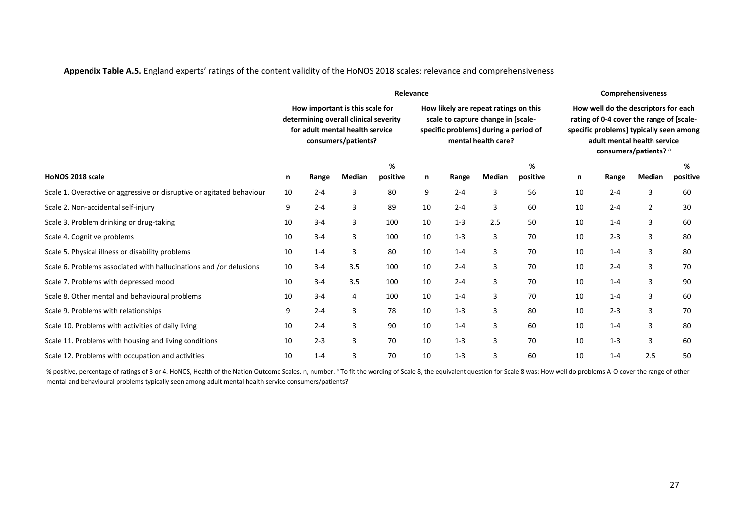|                                                                       |    |                                                                           |                                                                                                                                    | <b>Comprehensiveness</b> |    |         |                                                                                                                                             |       |        |               |                                                                                                                                                                                     |    |
|-----------------------------------------------------------------------|----|---------------------------------------------------------------------------|------------------------------------------------------------------------------------------------------------------------------------|--------------------------|----|---------|---------------------------------------------------------------------------------------------------------------------------------------------|-------|--------|---------------|-------------------------------------------------------------------------------------------------------------------------------------------------------------------------------------|----|
|                                                                       |    |                                                                           | How important is this scale for<br>determining overall clinical severity<br>for adult mental health service<br>consumers/patients? |                          |    |         | How likely are repeat ratings on this<br>scale to capture change in [scale-<br>specific problems] during a period of<br>mental health care? |       |        |               | How well do the descriptors for each<br>rating of 0-4 cover the range of [scale-<br>specific problems] typically seen among<br>adult mental health service<br>consumers/patients? a |    |
| HoNOS 2018 scale                                                      | n  | %<br>%<br>Median<br>Median<br>positive<br>positive<br>Range<br>Range<br>n |                                                                                                                                    |                          |    |         | n                                                                                                                                           | Range | Median | %<br>positive |                                                                                                                                                                                     |    |
| Scale 1. Overactive or aggressive or disruptive or agitated behaviour | 10 | $2 - 4$                                                                   | 3                                                                                                                                  | 80                       | 9  | $2 - 4$ | 3                                                                                                                                           | 56    | 10     | $2 - 4$       | 3                                                                                                                                                                                   | 60 |
| Scale 2. Non-accidental self-injury                                   | 9  | $2 - 4$                                                                   | 3                                                                                                                                  | 89                       | 10 | $2 - 4$ | 3                                                                                                                                           | 60    | 10     | $2 - 4$       | $\overline{2}$                                                                                                                                                                      | 30 |
| Scale 3. Problem drinking or drug-taking                              | 10 | $3 - 4$                                                                   | 3                                                                                                                                  | 100                      | 10 | $1 - 3$ | 2.5                                                                                                                                         | 50    | 10     | $1 - 4$       | 3                                                                                                                                                                                   | 60 |
| Scale 4. Cognitive problems                                           | 10 | $3 - 4$                                                                   | 3                                                                                                                                  | 100                      | 10 | $1 - 3$ | 3                                                                                                                                           | 70    | 10     | $2 - 3$       | 3                                                                                                                                                                                   | 80 |
| Scale 5. Physical illness or disability problems                      | 10 | $1 - 4$                                                                   | 3                                                                                                                                  | 80                       | 10 | $1 - 4$ | 3                                                                                                                                           | 70    | 10     | $1 - 4$       | 3                                                                                                                                                                                   | 80 |
| Scale 6. Problems associated with hallucinations and /or delusions    | 10 | $3 - 4$                                                                   | 3.5                                                                                                                                | 100                      | 10 | $2 - 4$ | 3                                                                                                                                           | 70    | 10     | $2 - 4$       | 3                                                                                                                                                                                   | 70 |
| Scale 7. Problems with depressed mood                                 | 10 | $3 - 4$                                                                   | 3.5                                                                                                                                | 100                      | 10 | $2 - 4$ | 3                                                                                                                                           | 70    | 10     | $1 - 4$       | 3                                                                                                                                                                                   | 90 |
| Scale 8. Other mental and behavioural problems                        | 10 | $3 - 4$                                                                   | 4                                                                                                                                  | 100                      | 10 | $1 - 4$ | 3                                                                                                                                           | 70    | 10     | $1 - 4$       | 3                                                                                                                                                                                   | 60 |
| Scale 9. Problems with relationships                                  | 9  | $2 - 4$                                                                   | 3                                                                                                                                  | 78                       | 10 | $1 - 3$ | 3                                                                                                                                           | 80    | 10     | $2 - 3$       | 3                                                                                                                                                                                   | 70 |
| Scale 10. Problems with activities of daily living                    | 10 | $2 - 4$                                                                   | 3                                                                                                                                  | 90                       | 10 | $1 - 4$ | 3                                                                                                                                           | 60    | 10     | $1 - 4$       | 3                                                                                                                                                                                   | 80 |
| Scale 11. Problems with housing and living conditions                 | 10 | $2 - 3$                                                                   | 3                                                                                                                                  | 70                       | 10 | $1 - 3$ | 3                                                                                                                                           | 70    | 10     | $1 - 3$       | 3                                                                                                                                                                                   | 60 |
| Scale 12. Problems with occupation and activities                     | 10 | $1 - 4$                                                                   | 3                                                                                                                                  | 70                       | 10 | $1 - 3$ | 3                                                                                                                                           | 60    | 10     | $1 - 4$       | 2.5                                                                                                                                                                                 | 50 |

**Appendix Table A.5.** England experts' ratings of the content validity of the HoNOS 2018 scales: relevance and comprehensiveness

% positive, percentage of ratings of 3 or 4. HoNOS, Health of the Nation Outcome Scales. n, number. <sup>a</sup> To fit the wording of Scale 8, the equivalent question for Scale 8 was: How well do problems A-O cover the range of ot mental and behavioural problems typically seen among adult mental health service consumers/patients?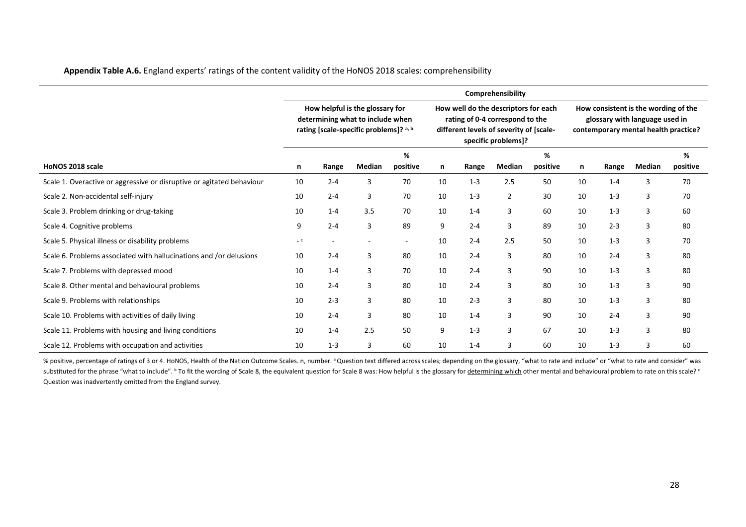| Appendix Table A.6. England experts' ratings of the content validity of the HoNOS 2018 scales: comprehensibility |
|------------------------------------------------------------------------------------------------------------------|
|------------------------------------------------------------------------------------------------------------------|

|                                                                       |      |                                                                                                               |        |               |    |         | Comprehensibility                                                                                                                         |               |    |                                                                                                                |        |               |
|-----------------------------------------------------------------------|------|---------------------------------------------------------------------------------------------------------------|--------|---------------|----|---------|-------------------------------------------------------------------------------------------------------------------------------------------|---------------|----|----------------------------------------------------------------------------------------------------------------|--------|---------------|
|                                                                       |      | How helpful is the glossary for<br>determining what to include when<br>rating [scale-specific problems]? a, b |        |               |    |         | How well do the descriptors for each<br>rating of 0-4 correspond to the<br>different levels of severity of [scale-<br>specific problems]? |               |    | How consistent is the wording of the<br>glossary with language used in<br>contemporary mental health practice? |        |               |
| HoNOS 2018 scale                                                      | n    | Range                                                                                                         | Median | %<br>positive | n  | Range   | Median                                                                                                                                    | %<br>positive | n  | Range                                                                                                          | Median | %<br>positive |
| Scale 1. Overactive or aggressive or disruptive or agitated behaviour | 10   | $2 - 4$                                                                                                       | 3      | 70            | 10 | $1 - 3$ | 2.5                                                                                                                                       | 50            | 10 | $1 - 4$                                                                                                        | 3      | 70            |
| Scale 2. Non-accidental self-injury                                   | 10   | $2 - 4$                                                                                                       | 3      | 70            | 10 | $1 - 3$ | 2                                                                                                                                         | 30            | 10 | $1 - 3$                                                                                                        | 3      | 70            |
| Scale 3. Problem drinking or drug-taking                              | 10   | $1 - 4$                                                                                                       | 3.5    | 70            | 10 | $1 - 4$ | 3                                                                                                                                         | 60            | 10 | $1 - 3$                                                                                                        | 3      | 60            |
| Scale 4. Cognitive problems                                           | 9    | $2 - 4$                                                                                                       | 3      | 89            | 9  | $2 - 4$ | 3                                                                                                                                         | 89            | 10 | $2 - 3$                                                                                                        | 3      | 80            |
| Scale 5. Physical illness or disability problems                      | $-c$ |                                                                                                               |        | $\sim$        | 10 | $2 - 4$ | 2.5                                                                                                                                       | 50            | 10 | $1 - 3$                                                                                                        | 3      | 70            |
| Scale 6. Problems associated with hallucinations and /or delusions    | 10   | $2 - 4$                                                                                                       | 3      | 80            | 10 | $2 - 4$ | 3                                                                                                                                         | 80            | 10 | $2 - 4$                                                                                                        | 3      | 80            |
| Scale 7. Problems with depressed mood                                 | 10   | $1 - 4$                                                                                                       | 3      | 70            | 10 | $2 - 4$ | 3                                                                                                                                         | 90            | 10 | $1 - 3$                                                                                                        | 3      | 80            |
| Scale 8. Other mental and behavioural problems                        | 10   | $2 - 4$                                                                                                       | 3      | 80            | 10 | $2 - 4$ | 3                                                                                                                                         | 80            | 10 | $1 - 3$                                                                                                        | 3      | 90            |
| Scale 9. Problems with relationships                                  | 10   | $2 - 3$                                                                                                       | 3      | 80            | 10 | $2 - 3$ | 3                                                                                                                                         | 80            | 10 | $1 - 3$                                                                                                        | 3      | 80            |
| Scale 10. Problems with activities of daily living                    | 10   | $2 - 4$                                                                                                       | 3      | 80            | 10 | $1 - 4$ | 3                                                                                                                                         | 90            | 10 | $2 - 4$                                                                                                        | 3      | 90            |
| Scale 11. Problems with housing and living conditions                 | 10   | $1 - 4$                                                                                                       | 2.5    | 50            | 9  | $1 - 3$ | 3                                                                                                                                         | 67            | 10 | $1 - 3$                                                                                                        | 3      | 80            |
| Scale 12. Problems with occupation and activities                     | 10   | $1 - 3$                                                                                                       | 3      | 60            | 10 | $1 - 4$ | 3                                                                                                                                         | 60            | 10 | $1 - 3$                                                                                                        | 3      | 60            |

% positive, percentage of ratings of 3 or 4. HoNOS, Health of the Nation Outcome Scales. n, number. <sup>a</sup> Question text differed across scales; depending on the glossary, "what to rate and include" or "what to rate and consi substituted for the phrase "what to include". <sup>b</sup> To fit the wording of Scale 8, the equivalent question for Scale 8 was: How helpful is the glossary for <u>determining which</u> other mental and behavioural problem to rate on Question was inadvertently omitted from the England survey.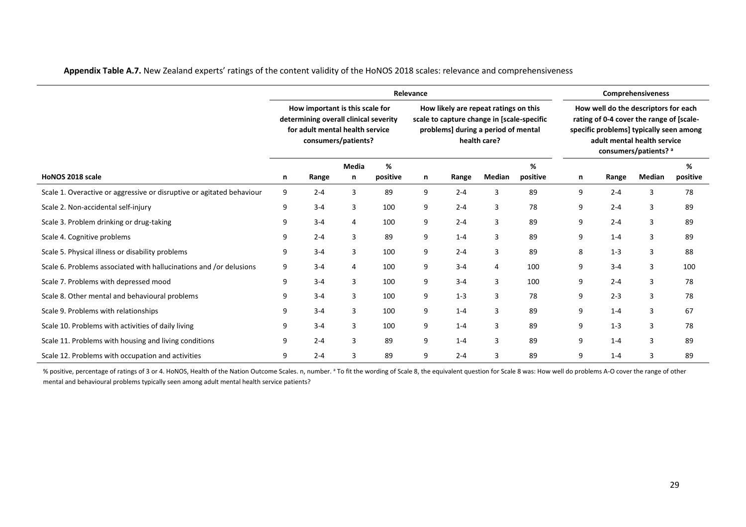|                                                                       | Relevance |                                                                                                                                    |                   |               |   |                                                                                                                            |              |               |   | <b>Comprehensiveness</b> |                                                                                                                                                                                     |               |  |  |
|-----------------------------------------------------------------------|-----------|------------------------------------------------------------------------------------------------------------------------------------|-------------------|---------------|---|----------------------------------------------------------------------------------------------------------------------------|--------------|---------------|---|--------------------------|-------------------------------------------------------------------------------------------------------------------------------------------------------------------------------------|---------------|--|--|
|                                                                       |           | How important is this scale for<br>determining overall clinical severity<br>for adult mental health service<br>consumers/patients? |                   |               |   | How likely are repeat ratings on this<br>scale to capture change in [scale-specific<br>problems] during a period of mental | health care? |               |   |                          | How well do the descriptors for each<br>rating of 0-4 cover the range of [scale-<br>specific problems] typically seen among<br>adult mental health service<br>consumers/patients? a |               |  |  |
| HoNOS 2018 scale                                                      | n         | Range                                                                                                                              | <b>Media</b><br>n | %<br>positive | n | Range                                                                                                                      | Median       | %<br>positive | n | Range                    | Median                                                                                                                                                                              | %<br>positive |  |  |
|                                                                       |           |                                                                                                                                    |                   |               |   |                                                                                                                            |              |               |   |                          |                                                                                                                                                                                     |               |  |  |
| Scale 1. Overactive or aggressive or disruptive or agitated behaviour | 9         | $2 - 4$                                                                                                                            | 3                 | 89            | 9 | $2 - 4$                                                                                                                    | 3            | 89            | 9 | $2 - 4$                  | 3                                                                                                                                                                                   | 78            |  |  |
| Scale 2. Non-accidental self-injury                                   | 9         | $3 - 4$                                                                                                                            | 3                 | 100           | 9 | $2 - 4$                                                                                                                    | 3            | 78            | 9 | $2 - 4$                  | 3                                                                                                                                                                                   | 89            |  |  |
| Scale 3. Problem drinking or drug-taking                              | 9         | $3 - 4$                                                                                                                            | $\overline{4}$    | 100           | 9 | $2 - 4$                                                                                                                    | 3            | 89            | 9 | $2 - 4$                  | 3                                                                                                                                                                                   | 89            |  |  |
| Scale 4. Cognitive problems                                           | 9         | $2 - 4$                                                                                                                            | 3                 | 89            | 9 | $1 - 4$                                                                                                                    | 3            | 89            | 9 | $1 - 4$                  | 3                                                                                                                                                                                   | 89            |  |  |
| Scale 5. Physical illness or disability problems                      | 9         | $3 - 4$                                                                                                                            | 3                 | 100           | 9 | $2 - 4$                                                                                                                    | 3            | 89            | 8 | $1 - 3$                  | 3                                                                                                                                                                                   | 88            |  |  |
| Scale 6. Problems associated with hallucinations and /or delusions    | 9         | $3 - 4$                                                                                                                            | 4                 | 100           | 9 | $3 - 4$                                                                                                                    | 4            | 100           | 9 | $3 - 4$                  | 3                                                                                                                                                                                   | 100           |  |  |
| Scale 7. Problems with depressed mood                                 | 9         | $3 - 4$                                                                                                                            | 3                 | 100           | 9 | $3 - 4$                                                                                                                    | 3            | 100           | 9 | $2 - 4$                  | 3                                                                                                                                                                                   | 78            |  |  |
| Scale 8. Other mental and behavioural problems                        | 9         | $3 - 4$                                                                                                                            | 3                 | 100           | 9 | $1 - 3$                                                                                                                    | 3            | 78            | 9 | $2 - 3$                  | 3                                                                                                                                                                                   | 78            |  |  |
| Scale 9. Problems with relationships                                  | 9         | $3 - 4$                                                                                                                            | 3                 | 100           | 9 | $1 - 4$                                                                                                                    | 3            | 89            | 9 | $1 - 4$                  | 3                                                                                                                                                                                   | 67            |  |  |
| Scale 10. Problems with activities of daily living                    | 9         | $3 - 4$                                                                                                                            | 3                 | 100           | 9 | $1 - 4$                                                                                                                    | 3            | 89            | 9 | $1 - 3$                  | 3                                                                                                                                                                                   | 78            |  |  |
| Scale 11. Problems with housing and living conditions                 | 9         | $2 - 4$                                                                                                                            | 3                 | 89            | 9 | $1 - 4$                                                                                                                    | 3            | 89            | 9 | $1 - 4$                  | 3                                                                                                                                                                                   | 89            |  |  |
| Scale 12. Problems with occupation and activities                     | 9         | $2 - 4$                                                                                                                            |                   | 89            | 9 | $2 - 4$                                                                                                                    |              | 89            | 9 | $1 - 4$                  | 3                                                                                                                                                                                   | 89            |  |  |

**Appendix Table A.7.** New Zealand experts' ratings of the content validity of the HoNOS 2018 scales: relevance and comprehensiveness

% positive, percentage of ratings of 3 or 4. HoNOS, Health of the Nation Outcome Scales. n, number. <sup>a</sup> To fit the wording of Scale 8, the equivalent question for Scale 8 was: How well do problems A-O cover the range of ot mental and behavioural problems typically seen among adult mental health service patients?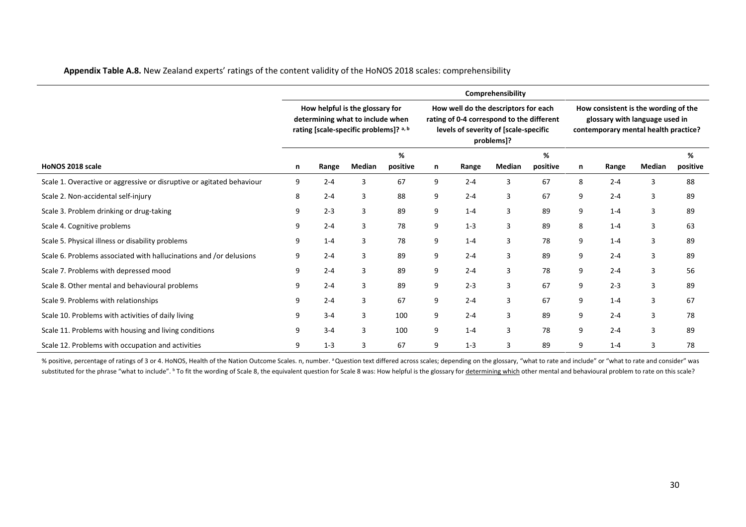| Appendix Table A.8. New Zealand experts' ratings of the content validity of the HoNOS 2018 scales: comprehensibility |  |  |
|----------------------------------------------------------------------------------------------------------------------|--|--|
|----------------------------------------------------------------------------------------------------------------------|--|--|

|                                                                       |                                                                                                               |         |        |          |                                                                                                                                          |         | Comprehensibility |          |                                                                                                                |         |        |          |
|-----------------------------------------------------------------------|---------------------------------------------------------------------------------------------------------------|---------|--------|----------|------------------------------------------------------------------------------------------------------------------------------------------|---------|-------------------|----------|----------------------------------------------------------------------------------------------------------------|---------|--------|----------|
|                                                                       | How helpful is the glossary for<br>determining what to include when<br>rating [scale-specific problems]? a, b |         |        |          | How well do the descriptors for each<br>rating of 0-4 correspond to the different<br>levels of severity of [scale-specific<br>problems]? |         |                   |          | How consistent is the wording of the<br>glossary with language used in<br>contemporary mental health practice? |         |        |          |
|                                                                       |                                                                                                               |         |        | %        |                                                                                                                                          |         |                   | %        |                                                                                                                |         |        | %        |
| HoNOS 2018 scale                                                      | n                                                                                                             | Range   | Median | positive | n                                                                                                                                        | Range   | Median            | positive | n                                                                                                              | Range   | Median | positive |
| Scale 1. Overactive or aggressive or disruptive or agitated behaviour | 9                                                                                                             | $2 - 4$ | 3      | 67       | 9                                                                                                                                        | $2 - 4$ | 3                 | 67       | 8                                                                                                              | $2 - 4$ | 3      | 88       |
| Scale 2. Non-accidental self-injury                                   | 8                                                                                                             | $2 - 4$ | 3      | 88       | 9                                                                                                                                        | $2 - 4$ | 3                 | 67       | 9                                                                                                              | $2 - 4$ | 3      | 89       |
| Scale 3. Problem drinking or drug-taking                              | 9                                                                                                             | $2 - 3$ | 3      | 89       | 9                                                                                                                                        | $1 - 4$ | 3                 | 89       | 9                                                                                                              | $1 - 4$ | 3      | 89       |
| Scale 4. Cognitive problems                                           | 9                                                                                                             | $2 - 4$ | 3      | 78       | 9                                                                                                                                        | $1 - 3$ | 3                 | 89       | 8                                                                                                              | $1 - 4$ | 3      | 63       |
| Scale 5. Physical illness or disability problems                      | 9                                                                                                             | $1 - 4$ | 3      | 78       | 9                                                                                                                                        | $1 - 4$ | 3                 | 78       | 9                                                                                                              | $1 - 4$ | 3      | 89       |
| Scale 6. Problems associated with hallucinations and /or delusions    | 9                                                                                                             | $2 - 4$ | 3      | 89       | 9                                                                                                                                        | $2 - 4$ | 3                 | 89       | 9                                                                                                              | $2 - 4$ | 3      | 89       |
| Scale 7. Problems with depressed mood                                 | 9                                                                                                             | $2 - 4$ | 3      | 89       | 9                                                                                                                                        | $2 - 4$ | 3                 | 78       | 9                                                                                                              | $2 - 4$ | 3      | 56       |
| Scale 8. Other mental and behavioural problems                        | 9                                                                                                             | $2 - 4$ | 3      | 89       | 9                                                                                                                                        | $2 - 3$ | 3                 | 67       | 9                                                                                                              | $2 - 3$ | 3      | 89       |
| Scale 9. Problems with relationships                                  | 9                                                                                                             | $2 - 4$ | 3      | 67       | 9                                                                                                                                        | $2 - 4$ | 3                 | 67       | 9                                                                                                              | $1 - 4$ | 3      | 67       |
| Scale 10. Problems with activities of daily living                    | 9                                                                                                             | $3 - 4$ | 3      | 100      | 9                                                                                                                                        | $2 - 4$ | 3                 | 89       | 9                                                                                                              | $2 - 4$ | 3      | 78       |
| Scale 11. Problems with housing and living conditions                 | 9                                                                                                             | $3 - 4$ | 3      | 100      | 9                                                                                                                                        | $1 - 4$ | 3                 | 78       | 9                                                                                                              | $2 - 4$ | 3      | 89       |
| Scale 12. Problems with occupation and activities                     | 9                                                                                                             | $1 - 3$ | 3      | 67       | 9                                                                                                                                        | $1 - 3$ | 3                 | 89       | 9                                                                                                              | $1 - 4$ | 3      | 78       |

% positive, percentage of ratings of 3 or 4. HoNOS, Health of the Nation Outcome Scales. n, number. <sup>a</sup> Question text differed across scales; depending on the glossary, "what to rate and include" or "what to rate and consi substituted for the phrase "what to include". <sup>b</sup> To fit the wording of Scale 8, the equivalent question for Scale 8 was: How helpful is the glossary for <u>determining which</u> other mental and behavioural problem to rate on